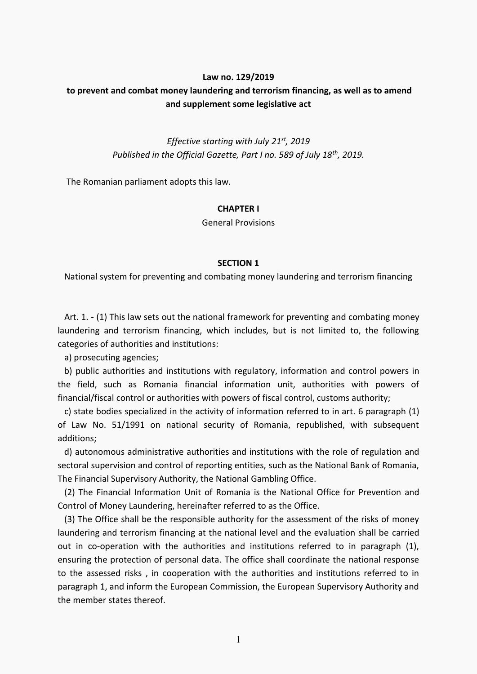## **Law no. 129/2019**

# **to prevent and combat money laundering and terrorism financing, as well as to amend and supplement some legislative act**

*Effective starting with July 21st, 2019 Published in the Official Gazette, Part I no. 589 of July 18th, 2019.* 

The Romanian parliament adopts this law.

#### **CHAPTER I**

General Provisions

#### **SECTION 1**

National system for preventing and combating money laundering and terrorism financing

 Art. 1. - (1) This law sets out the national framework for preventing and combating money laundering and terrorism financing, which includes, but is not limited to, the following categories of authorities and institutions:

a) prosecuting agencies;

 b) public authorities and institutions with regulatory, information and control powers in the field, such as Romania financial information unit, authorities with powers of financial/fiscal control or authorities with powers of fiscal control, customs authority;

 c) state bodies specialized in the activity of information referred to in art. 6 paragraph (1) of Law No. 51/1991 on national security of Romania, republished, with subsequent additions;

 d) autonomous administrative authorities and institutions with the role of regulation and sectoral supervision and control of reporting entities, such as the National Bank of Romania, The Financial Supervisory Authority, the National Gambling Office.

 (2) The Financial Information Unit of Romania is the National Office for Prevention and Control of Money Laundering, hereinafter referred to as the Office.

 (3) The Office shall be the responsible authority for the assessment of the risks of money laundering and terrorism financing at the national level and the evaluation shall be carried out in co-operation with the authorities and institutions referred to in paragraph (1), ensuring the protection of personal data. The office shall coordinate the national response to the assessed risks , in cooperation with the authorities and institutions referred to in paragraph 1, and inform the European Commission, the European Supervisory Authority and the member states thereof.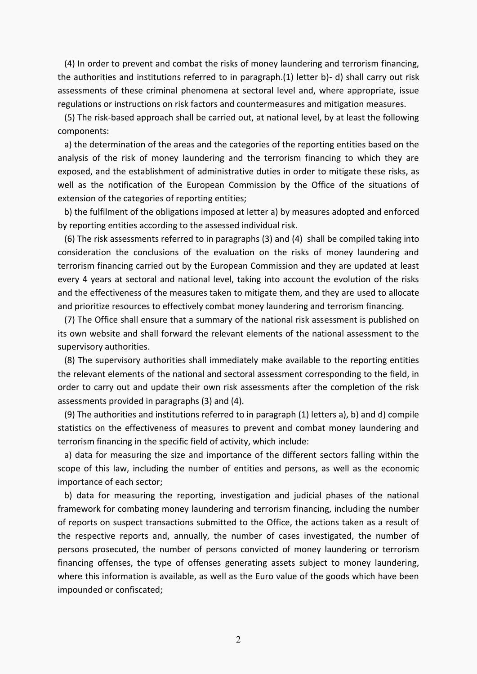(4) In order to prevent and combat the risks of money laundering and terrorism financing, the authorities and institutions referred to in paragraph.(1) letter b)- d) shall carry out risk assessments of these criminal phenomena at sectoral level and, where appropriate, issue regulations or instructions on risk factors and countermeasures and mitigation measures.

 (5) The risk-based approach shall be carried out, at national level, by at least the following components:

 a) the determination of the areas and the categories of the reporting entities based on the analysis of the risk of money laundering and the terrorism financing to which they are exposed, and the establishment of administrative duties in order to mitigate these risks, as well as the notification of the European Commission by the Office of the situations of extension of the categories of reporting entities;

 b) the fulfilment of the obligations imposed at letter a) by measures adopted and enforced by reporting entities according to the assessed individual risk.

 (6) The risk assessments referred to in paragraphs (3) and (4) shall be compiled taking into consideration the conclusions of the evaluation on the risks of money laundering and terrorism financing carried out by the European Commission and they are updated at least every 4 years at sectoral and national level, taking into account the evolution of the risks and the effectiveness of the measures taken to mitigate them, and they are used to allocate and prioritize resources to effectively combat money laundering and terrorism financing.

 (7) The Office shall ensure that a summary of the national risk assessment is published on its own website and shall forward the relevant elements of the national assessment to the supervisory authorities.

 (8) The supervisory authorities shall immediately make available to the reporting entities the relevant elements of the national and sectoral assessment corresponding to the field, in order to carry out and update their own risk assessments after the completion of the risk assessments provided in paragraphs (3) and (4).

 (9) The authorities and institutions referred to in paragraph (1) letters a), b) and d) compile statistics on the effectiveness of measures to prevent and combat money laundering and terrorism financing in the specific field of activity, which include:

 a) data for measuring the size and importance of the different sectors falling within the scope of this law, including the number of entities and persons, as well as the economic importance of each sector;

 b) data for measuring the reporting, investigation and judicial phases of the national framework for combating money laundering and terrorism financing, including the number of reports on suspect transactions submitted to the Office, the actions taken as a result of the respective reports and, annually, the number of cases investigated, the number of persons prosecuted, the number of persons convicted of money laundering or terrorism financing offenses, the type of offenses generating assets subject to money laundering, where this information is available, as well as the Euro value of the goods which have been impounded or confiscated;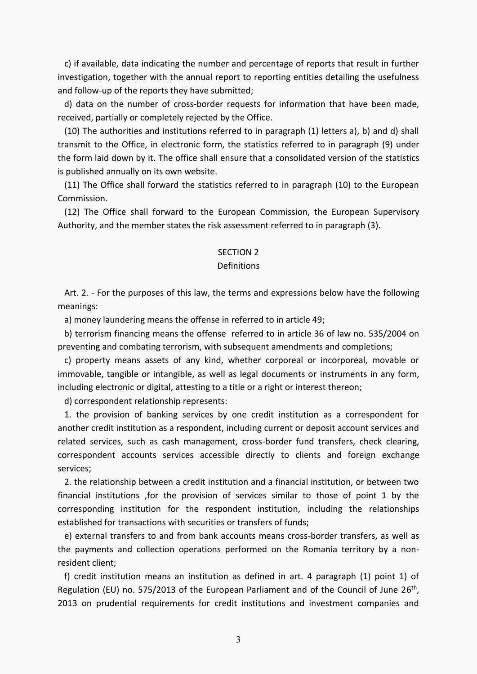c) if available, data indicating the number and percentage of reports that result in further investigation, together with the annual report to reporting entities detailing the usefulness and follow-up of the reports they have submitted;

 d) data on the number of cross-border requests for information that have been made, received, partially or completely rejected by the Office.

 (10) The authorities and institutions referred to in paragraph (1) letters a), b) and d) shall transmit to the Office, in electronic form, the statistics referred to in paragraph (9) under the form laid down by it. The office shall ensure that a consolidated version of the statistics is published annually on its own website.

 (11) The Office shall forward the statistics referred to in paragraph (10) to the European Commission.

 (12) The Office shall forward to the European Commission, the European Supervisory Authority, and the member states the risk assessment referred to in paragraph (3).

## SECTION 2

#### Definitions

 Art. 2. - For the purposes of this law, the terms and expressions below have the following meanings:

a) money laundering means the offense in referred to in article 49;

 b) terrorism financing means the offense referred to in article 36 of law no. 535/2004 on preventing and combating terrorism, with subsequent amendments and completions;

 c) property means assets of any kind, whether corporeal or incorporeal, movable or immovable, tangible or intangible, as well as legal documents or instruments in any form, including electronic or digital, attesting to a title or a right or interest thereon;

d) correspondent relationship represents:

 1. the provision of banking services by one credit institution as a correspondent for another credit institution as a respondent, including current or deposit account services and related services, such as cash management, cross-border fund transfers, check clearing, correspondent accounts services accessible directly to clients and foreign exchange services;

 2. the relationship between a credit institution and a financial institution, or between two financial institutions ,for the provision of services similar to those of point 1 by the corresponding institution for the respondent institution, including the relationships established for transactions with securities or transfers of funds;

 e) external transfers to and from bank accounts means cross-border transfers, as well as the payments and collection operations performed on the Romania territory by a nonresident client;

 f) credit institution means an institution as defined in art. 4 paragraph (1) point 1) of Regulation (EU) no. 575/2013 of the European Parliament and of the Council of June 26<sup>th</sup>, 2013 on prudential requirements for credit institutions and investment companies and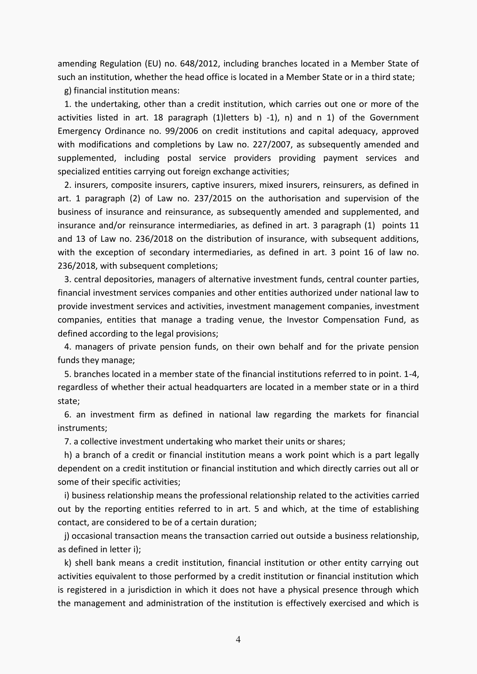amending Regulation (EU) no. 648/2012, including branches located in a Member State of such an institution, whether the head office is located in a Member State or in a third state;

g) financial institution means:

 1. the undertaking, other than a credit institution, which carries out one or more of the activities listed in art. 18 paragraph (1)letters b) -1), n) and n 1) of the Government Emergency Ordinance no. 99/2006 on credit institutions and capital adequacy, approved with modifications and completions by Law no. 227/2007, as subsequently amended and supplemented, including postal service providers providing payment services and specialized entities carrying out foreign exchange activities;

 2. insurers, composite insurers, captive insurers, mixed insurers, reinsurers, as defined in art. 1 paragraph (2) of Law no. 237/2015 on the authorisation and supervision of the business of insurance and reinsurance, as subsequently amended and supplemented, and insurance and/or reinsurance intermediaries, as defined in art. 3 paragraph (1) points 11 and 13 of Law no. 236/2018 on the distribution of insurance, with subsequent additions, with the exception of secondary intermediaries, as defined in art. 3 point 16 of law no. 236/2018, with subsequent completions;

 3. central depositories, managers of alternative investment funds, central counter parties, financial investment services companies and other entities authorized under national law to provide investment services and activities, investment management companies, investment companies, entities that manage a trading venue, the Investor Compensation Fund, as defined according to the legal provisions;

 4. managers of private pension funds, on their own behalf and for the private pension funds they manage;

 5. branches located in a member state of the financial institutions referred to in point. 1-4, regardless of whether their actual headquarters are located in a member state or in a third state;

 6. an investment firm as defined in national law regarding the markets for financial instruments;

7. a collective investment undertaking who market their units or shares;

 h) a branch of a credit or financial institution means a work point which is a part legally dependent on a credit institution or financial institution and which directly carries out all or some of their specific activities;

 i) business relationship means the professional relationship related to the activities carried out by the reporting entities referred to in art. 5 and which, at the time of establishing contact, are considered to be of a certain duration;

 j) occasional transaction means the transaction carried out outside a business relationship, as defined in letter i);

 k) shell bank means a credit institution, financial institution or other entity carrying out activities equivalent to those performed by a credit institution or financial institution which is registered in a jurisdiction in which it does not have a physical presence through which the management and administration of the institution is effectively exercised and which is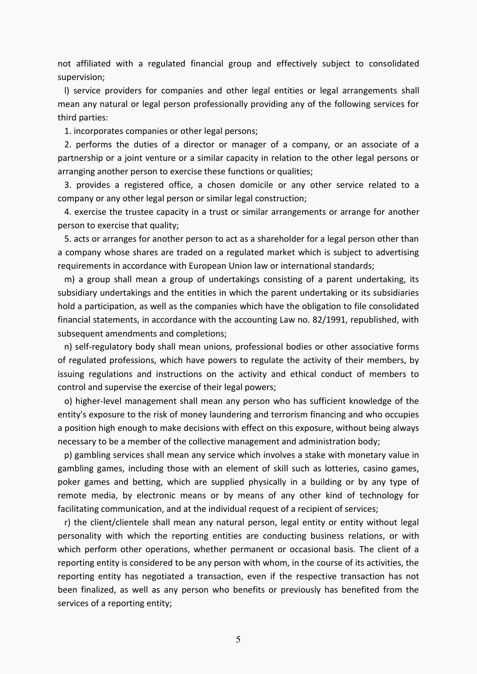not affiliated with a regulated financial group and effectively subject to consolidated supervision;

 l) service providers for companies and other legal entities or legal arrangements shall mean any natural or legal person professionally providing any of the following services for third parties:

1. incorporates companies or other legal persons;

 2. performs the duties of a director or manager of a company, or an associate of a partnership or a joint venture or a similar capacity in relation to the other legal persons or arranging another person to exercise these functions or qualities;

 3. provides a registered office, a chosen domicile or any other service related to a company or any other legal person or similar legal construction;

 4. exercise the trustee capacity in a trust or similar arrangements or arrange for another person to exercise that quality;

 5. acts or arranges for another person to act as a shareholder for a legal person other than a company whose shares are traded on a regulated market which is subject to advertising requirements in accordance with European Union law or international standards;

 m) a group shall mean a group of undertakings consisting of a parent undertaking, its subsidiary undertakings and the entities in which the parent undertaking or its subsidiaries hold a participation, as well as the companies which have the obligation to file consolidated financial statements, in accordance with the accounting Law no. 82/1991, republished, with subsequent amendments and completions;

 n) self-regulatory body shall mean unions, professional bodies or other associative forms of regulated professions, which have powers to regulate the activity of their members, by issuing regulations and instructions on the activity and ethical conduct of members to control and supervise the exercise of their legal powers;

 o) higher-level management shall mean any person who has sufficient knowledge of the entity's exposure to the risk of money laundering and terrorism financing and who occupies a position high enough to make decisions with effect on this exposure, without being always necessary to be a member of the collective management and administration body;

 p) gambling services shall mean any service which involves a stake with monetary value in gambling games, including those with an element of skill such as lotteries, casino games, poker games and betting, which are supplied physically in a building or by any type of remote media, by electronic means or by means of any other kind of technology for facilitating communication, and at the individual request of a recipient of services;

 r) the client/clientele shall mean any natural person, legal entity or entity without legal personality with which the reporting entities are conducting business relations, or with which perform other operations, whether permanent or occasional basis. The client of a reporting entity is considered to be any person with whom, in the course of its activities, the reporting entity has negotiated a transaction, even if the respective transaction has not been finalized, as well as any person who benefits or previously has benefited from the services of a reporting entity;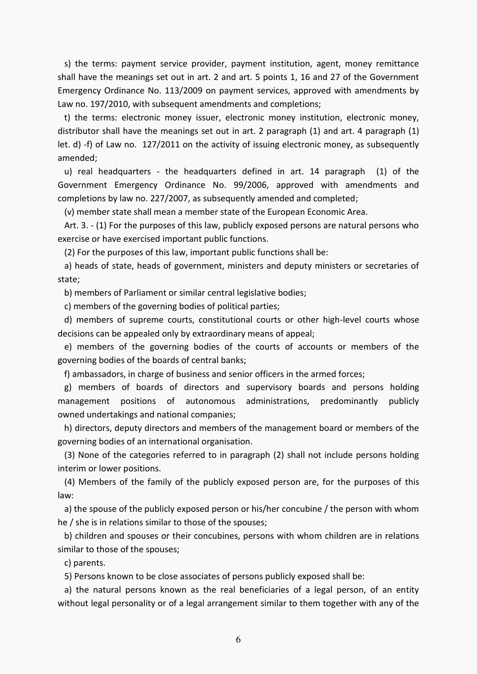s) the terms: payment service provider, payment institution, agent, money remittance shall have the meanings set out in art. 2 and art. 5 points 1, 16 and 27 of the Government Emergency Ordinance No. 113/2009 on payment services, approved with amendments by Law no. 197/2010, with subsequent amendments and completions;

 t) the terms: electronic money issuer, electronic money institution, electronic money, distributor shall have the meanings set out in art. 2 paragraph (1) and art. 4 paragraph (1) let. d) -f) of Law no. 127/2011 on the activity of issuing electronic money, as subsequently amended;

 u) real headquarters - the headquarters defined in art. 14 paragraph (1) of the Government Emergency Ordinance No. 99/2006, approved with amendments and completions by law no. 227/2007, as subsequently amended and completed;

(v) member state shall mean a member state of the European Economic Area.

 Art. 3. - (1) For the purposes of this law, publicly exposed persons are natural persons who exercise or have exercised important public functions.

(2) For the purposes of this law, important public functions shall be:

 a) heads of state, heads of government, ministers and deputy ministers or secretaries of state;

b) members of Parliament or similar central legislative bodies;

c) members of the governing bodies of political parties;

 d) members of supreme courts, constitutional courts or other high-level courts whose decisions can be appealed only by extraordinary means of appeal;

 e) members of the governing bodies of the courts of accounts or members of the governing bodies of the boards of central banks;

f) ambassadors, in charge of business and senior officers in the armed forces;

 g) members of boards of directors and supervisory boards and persons holding management positions of autonomous administrations, predominantly publicly owned undertakings and national companies;

 h) directors, deputy directors and members of the management board or members of the governing bodies of an international organisation.

 (3) None of the categories referred to in paragraph (2) shall not include persons holding interim or lower positions.

 (4) Members of the family of the publicly exposed person are, for the purposes of this law:

 a) the spouse of the publicly exposed person or his/her concubine / the person with whom he / she is in relations similar to those of the spouses;

 b) children and spouses or their concubines, persons with whom children are in relations similar to those of the spouses;

c) parents.

5) Persons known to be close associates of persons publicly exposed shall be:

 a) the natural persons known as the real beneficiaries of a legal person, of an entity without legal personality or of a legal arrangement similar to them together with any of the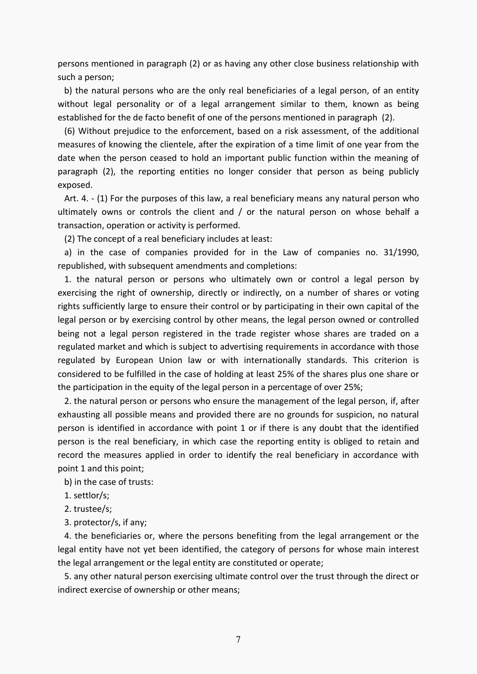persons mentioned in paragraph (2) or as having any other close business relationship with such a person;

 b) the natural persons who are the only real beneficiaries of a legal person, of an entity without legal personality or of a legal arrangement similar to them, known as being established for the de facto benefit of one of the persons mentioned in paragraph (2).

 (6) Without prejudice to the enforcement, based on a risk assessment, of the additional measures of knowing the clientele, after the expiration of a time limit of one year from the date when the person ceased to hold an important public function within the meaning of paragraph (2), the reporting entities no longer consider that person as being publicly exposed.

 Art. 4. - (1) For the purposes of this law, a real beneficiary means any natural person who ultimately owns or controls the client and / or the natural person on whose behalf a transaction, operation or activity is performed.

(2) The concept of a real beneficiary includes at least:

 a) in the case of companies provided for in the Law of companies no. 31/1990, republished, with subsequent amendments and completions:

 1. the natural person or persons who ultimately own or control a legal person by exercising the right of ownership, directly or indirectly, on a number of shares or voting rights sufficiently large to ensure their control or by participating in their own capital of the legal person or by exercising control by other means, the legal person owned or controlled being not a legal person registered in the trade register whose shares are traded on a regulated market and which is subject to advertising requirements in accordance with those regulated by European Union law or with internationally standards. This criterion is considered to be fulfilled in the case of holding at least 25% of the shares plus one share or the participation in the equity of the legal person in a percentage of over 25%;

 2. the natural person or persons who ensure the management of the legal person, if, after exhausting all possible means and provided there are no grounds for suspicion, no natural person is identified in accordance with point 1 or if there is any doubt that the identified person is the real beneficiary, in which case the reporting entity is obliged to retain and record the measures applied in order to identify the real beneficiary in accordance with point 1 and this point;

b) in the case of trusts:

1. settlor/s;

2. trustee/s;

3. protector/s, if any;

 4. the beneficiaries or, where the persons benefiting from the legal arrangement or the legal entity have not yet been identified, the category of persons for whose main interest the legal arrangement or the legal entity are constituted or operate;

 5. any other natural person exercising ultimate control over the trust through the direct or indirect exercise of ownership or other means;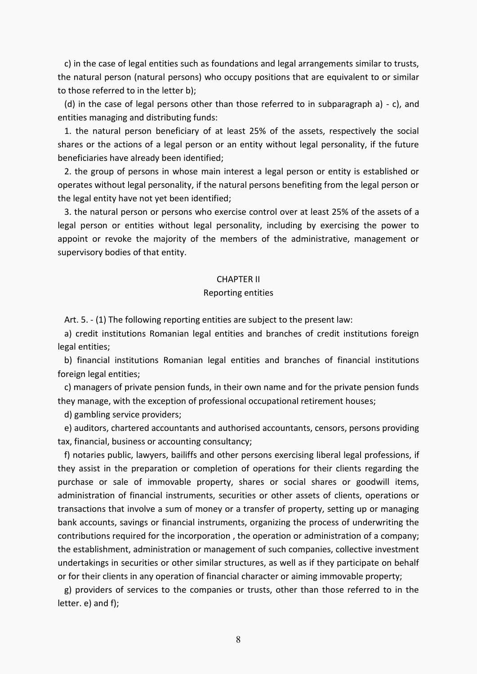c) in the case of legal entities such as foundations and legal arrangements similar to trusts, the natural person (natural persons) who occupy positions that are equivalent to or similar to those referred to in the letter b);

 (d) in the case of legal persons other than those referred to in subparagraph a) - c), and entities managing and distributing funds:

 1. the natural person beneficiary of at least 25% of the assets, respectively the social shares or the actions of a legal person or an entity without legal personality, if the future beneficiaries have already been identified;

 2. the group of persons in whose main interest a legal person or entity is established or operates without legal personality, if the natural persons benefiting from the legal person or the legal entity have not yet been identified;

 3. the natural person or persons who exercise control over at least 25% of the assets of a legal person or entities without legal personality, including by exercising the power to appoint or revoke the majority of the members of the administrative, management or supervisory bodies of that entity.

### CHAPTER II

#### Reporting entities

Art. 5. - (1) The following reporting entities are subject to the present law:

 a) credit institutions Romanian legal entities and branches of credit institutions foreign legal entities;

 b) financial institutions Romanian legal entities and branches of financial institutions foreign legal entities;

 c) managers of private pension funds, in their own name and for the private pension funds they manage, with the exception of professional occupational retirement houses;

d) gambling service providers;

 e) auditors, chartered accountants and authorised accountants, censors, persons providing tax, financial, business or accounting consultancy;

 f) notaries public, lawyers, bailiffs and other persons exercising liberal legal professions, if they assist in the preparation or completion of operations for their clients regarding the purchase or sale of immovable property, shares or social shares or goodwill items, administration of financial instruments, securities or other assets of clients, operations or transactions that involve a sum of money or a transfer of property, setting up or managing bank accounts, savings or financial instruments, organizing the process of underwriting the contributions required for the incorporation , the operation or administration of a company; the establishment, administration or management of such companies, collective investment undertakings in securities or other similar structures, as well as if they participate on behalf or for their clients in any operation of financial character or aiming immovable property;

 g) providers of services to the companies or trusts, other than those referred to in the letter. e) and f);

8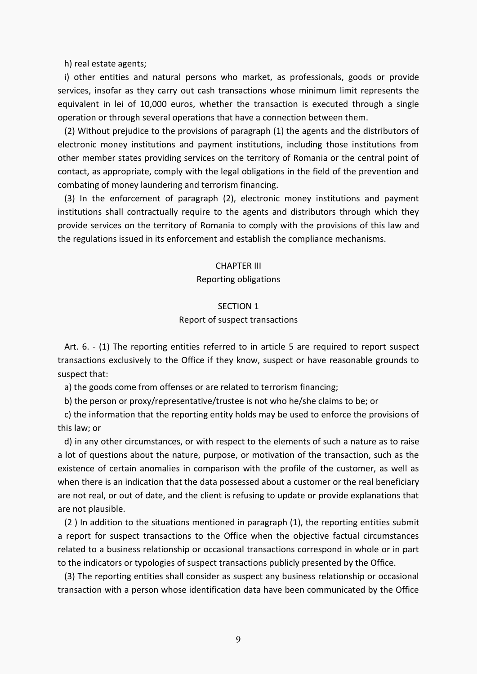h) real estate agents;

 i) other entities and natural persons who market, as professionals, goods or provide services, insofar as they carry out cash transactions whose minimum limit represents the equivalent in lei of 10,000 euros, whether the transaction is executed through a single operation or through several operations that have a connection between them.

 (2) Without prejudice to the provisions of paragraph (1) the agents and the distributors of electronic money institutions and payment institutions, including those institutions from other member states providing services on the territory of Romania or the central point of contact, as appropriate, comply with the legal obligations in the field of the prevention and combating of money laundering and terrorism financing.

 (3) In the enforcement of paragraph (2), electronic money institutions and payment institutions shall contractually require to the agents and distributors through which they provide services on the territory of Romania to comply with the provisions of this law and the regulations issued in its enforcement and establish the compliance mechanisms.

#### CHAPTER III

#### Reporting obligations

# SECTION 1

## Report of suspect transactions

 Art. 6. - (1) The reporting entities referred to in article 5 are required to report suspect transactions exclusively to the Office if they know, suspect or have reasonable grounds to suspect that:

a) the goods come from offenses or are related to terrorism financing;

b) the person or proxy/representative/trustee is not who he/she claims to be; or

 c) the information that the reporting entity holds may be used to enforce the provisions of this law; or

 d) in any other circumstances, or with respect to the elements of such a nature as to raise a lot of questions about the nature, purpose, or motivation of the transaction, such as the existence of certain anomalies in comparison with the profile of the customer, as well as when there is an indication that the data possessed about a customer or the real beneficiary are not real, or out of date, and the client is refusing to update or provide explanations that are not plausible.

 (2 ) In addition to the situations mentioned in paragraph (1), the reporting entities submit a report for suspect transactions to the Office when the objective factual circumstances related to a business relationship or occasional transactions correspond in whole or in part to the indicators or typologies of suspect transactions publicly presented by the Office.

 (3) The reporting entities shall consider as suspect any business relationship or occasional transaction with a person whose identification data have been communicated by the Office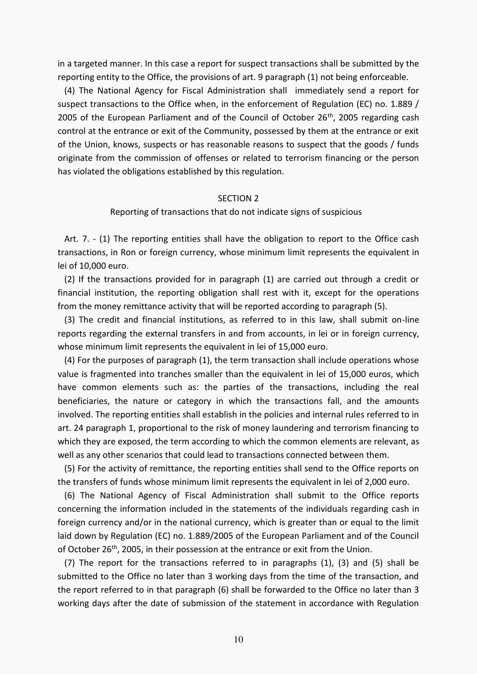in a targeted manner. In this case a report for suspect transactions shall be submitted by the reporting entity to the Office, the provisions of art. 9 paragraph (1) not being enforceable.

 (4) The National Agency for Fiscal Administration shall immediately send a report for suspect transactions to the Office when, in the enforcement of Regulation (EC) no. 1.889 / 2005 of the European Parliament and of the Council of October 26<sup>th</sup>, 2005 regarding cash control at the entrance or exit of the Community, possessed by them at the entrance or exit of the Union, knows, suspects or has reasonable reasons to suspect that the goods / funds originate from the commission of offenses or related to terrorism financing or the person has violated the obligations established by this regulation.

#### SECTION 2

### Reporting of transactions that do not indicate signs of suspicious

 Art. 7. - (1) The reporting entities shall have the obligation to report to the Office cash transactions, in Ron or foreign currency, whose minimum limit represents the equivalent in lei of 10,000 euro.

 (2) If the transactions provided for in paragraph (1) are carried out through a credit or financial institution, the reporting obligation shall rest with it, except for the operations from the money remittance activity that will be reported according to paragraph (5).

 (3) The credit and financial institutions, as referred to in this law, shall submit on-line reports regarding the external transfers in and from accounts, in lei or in foreign currency, whose minimum limit represents the equivalent in lei of 15,000 euro.

 (4) For the purposes of paragraph (1), the term transaction shall include operations whose value is fragmented into tranches smaller than the equivalent in lei of 15,000 euros, which have common elements such as: the parties of the transactions, including the real beneficiaries, the nature or category in which the transactions fall, and the amounts involved. The reporting entities shall establish in the policies and internal rules referred to in art. 24 paragraph 1, proportional to the risk of money laundering and terrorism financing to which they are exposed, the term according to which the common elements are relevant, as well as any other scenarios that could lead to transactions connected between them.

 (5) For the activity of remittance, the reporting entities shall send to the Office reports on the transfers of funds whose minimum limit represents the equivalent in lei of 2,000 euro.

 (6) The National Agency of Fiscal Administration shall submit to the Office reports concerning the information included in the statements of the individuals regarding cash in foreign currency and/or in the national currency, which is greater than or equal to the limit laid down by Regulation (EC) no. 1.889/2005 of the European Parliament and of the Council of October 26<sup>th</sup>, 2005, in their possession at the entrance or exit from the Union.

 (7) The report for the transactions referred to in paragraphs (1), (3) and (5) shall be submitted to the Office no later than 3 working days from the time of the transaction, and the report referred to in that paragraph (6) shall be forwarded to the Office no later than 3 working days after the date of submission of the statement in accordance with Regulation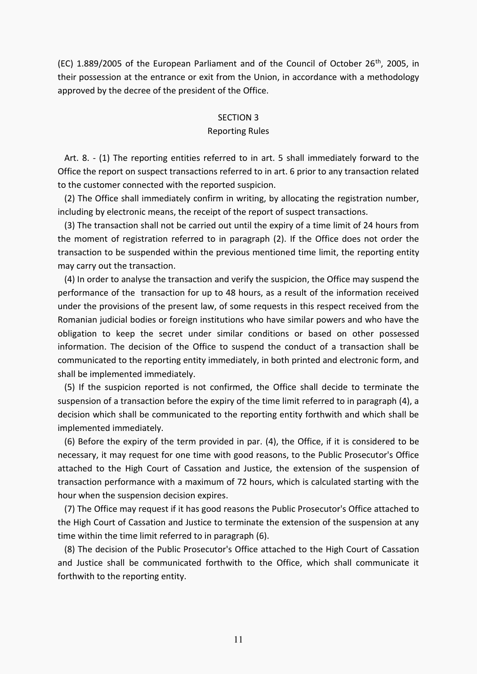(EC) 1.889/2005 of the European Parliament and of the Council of October 26<sup>th</sup>, 2005, in their possession at the entrance or exit from the Union, in accordance with a methodology approved by the decree of the president of the Office.

## SECTION 3

#### Reporting Rules

 Art. 8. - (1) The reporting entities referred to in art. 5 shall immediately forward to the Office the report on suspect transactions referred to in art. 6 prior to any transaction related to the customer connected with the reported suspicion.

 (2) The Office shall immediately confirm in writing, by allocating the registration number, including by electronic means, the receipt of the report of suspect transactions.

 (3) The transaction shall not be carried out until the expiry of a time limit of 24 hours from the moment of registration referred to in paragraph (2). If the Office does not order the transaction to be suspended within the previous mentioned time limit, the reporting entity may carry out the transaction.

 (4) In order to analyse the transaction and verify the suspicion, the Office may suspend the performance of the transaction for up to 48 hours, as a result of the information received under the provisions of the present law, of some requests in this respect received from the Romanian judicial bodies or foreign institutions who have similar powers and who have the obligation to keep the secret under similar conditions or based on other possessed information. The decision of the Office to suspend the conduct of a transaction shall be communicated to the reporting entity immediately, in both printed and electronic form, and shall be implemented immediately.

 (5) If the suspicion reported is not confirmed, the Office shall decide to terminate the suspension of a transaction before the expiry of the time limit referred to in paragraph (4), a decision which shall be communicated to the reporting entity forthwith and which shall be implemented immediately.

 (6) Before the expiry of the term provided in par. (4), the Office, if it is considered to be necessary, it may request for one time with good reasons, to the Public Prosecutor's Office attached to the High Court of Cassation and Justice, the extension of the suspension of transaction performance with a maximum of 72 hours, which is calculated starting with the hour when the suspension decision expires.

 (7) The Office may request if it has good reasons the Public Prosecutor's Office attached to the High Court of Cassation and Justice to terminate the extension of the suspension at any time within the time limit referred to in paragraph (6).

 (8) The decision of the Public Prosecutor's Office attached to the High Court of Cassation and Justice shall be communicated forthwith to the Office, which shall communicate it forthwith to the reporting entity.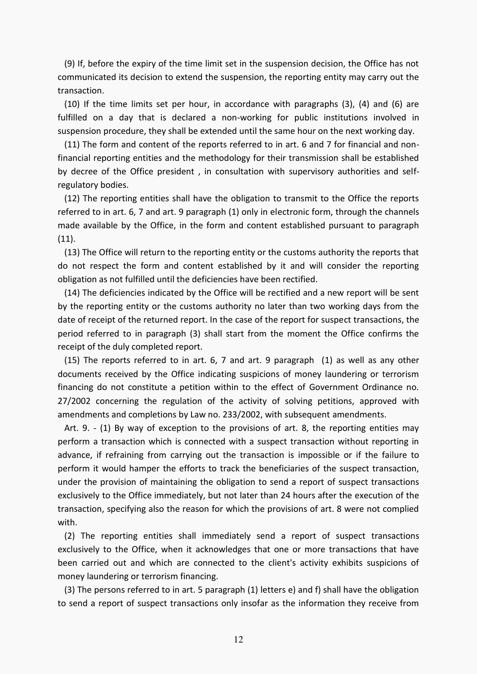(9) If, before the expiry of the time limit set in the suspension decision, the Office has not communicated its decision to extend the suspension, the reporting entity may carry out the transaction.

 (10) If the time limits set per hour, in accordance with paragraphs (3), (4) and (6) are fulfilled on a day that is declared a non-working for public institutions involved in suspension procedure, they shall be extended until the same hour on the next working day.

 (11) The form and content of the reports referred to in art. 6 and 7 for financial and nonfinancial reporting entities and the methodology for their transmission shall be established by decree of the Office president , in consultation with supervisory authorities and selfregulatory bodies.

 (12) The reporting entities shall have the obligation to transmit to the Office the reports referred to in art. 6, 7 and art. 9 paragraph (1) only in electronic form, through the channels made available by the Office, in the form and content established pursuant to paragraph (11).

 (13) The Office will return to the reporting entity or the customs authority the reports that do not respect the form and content established by it and will consider the reporting obligation as not fulfilled until the deficiencies have been rectified.

 (14) The deficiencies indicated by the Office will be rectified and a new report will be sent by the reporting entity or the customs authority no later than two working days from the date of receipt of the returned report. In the case of the report for suspect transactions, the period referred to in paragraph (3) shall start from the moment the Office confirms the receipt of the duly completed report.

 (15) The reports referred to in art. 6, 7 and art. 9 paragraph (1) as well as any other documents received by the Office indicating suspicions of money laundering or terrorism financing do not constitute a petition within to the effect of Government Ordinance no. 27/2002 concerning the regulation of the activity of solving petitions, approved with amendments and completions by Law no. 233/2002, with subsequent amendments.

 Art. 9. - (1) By way of exception to the provisions of art. 8, the reporting entities may perform a transaction which is connected with a suspect transaction without reporting in advance, if refraining from carrying out the transaction is impossible or if the failure to perform it would hamper the efforts to track the beneficiaries of the suspect transaction, under the provision of maintaining the obligation to send a report of suspect transactions exclusively to the Office immediately, but not later than 24 hours after the execution of the transaction, specifying also the reason for which the provisions of art. 8 were not complied with.

 (2) The reporting entities shall immediately send a report of suspect transactions exclusively to the Office, when it acknowledges that one or more transactions that have been carried out and which are connected to the client's activity exhibits suspicions of money laundering or terrorism financing.

 (3) The persons referred to in art. 5 paragraph (1) letters e) and f) shall have the obligation to send a report of suspect transactions only insofar as the information they receive from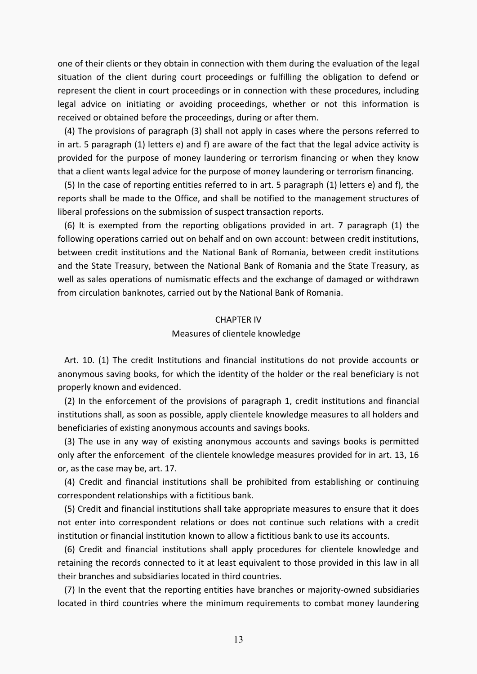one of their clients or they obtain in connection with them during the evaluation of the legal situation of the client during court proceedings or fulfilling the obligation to defend or represent the client in court proceedings or in connection with these procedures, including legal advice on initiating or avoiding proceedings, whether or not this information is received or obtained before the proceedings, during or after them.

 (4) The provisions of paragraph (3) shall not apply in cases where the persons referred to in art. 5 paragraph (1) letters e) and f) are aware of the fact that the legal advice activity is provided for the purpose of money laundering or terrorism financing or when they know that a client wants legal advice for the purpose of money laundering or terrorism financing.

 (5) In the case of reporting entities referred to in art. 5 paragraph (1) letters e) and f), the reports shall be made to the Office, and shall be notified to the management structures of liberal professions on the submission of suspect transaction reports.

 (6) It is exempted from the reporting obligations provided in art. 7 paragraph (1) the following operations carried out on behalf and on own account: between credit institutions, between credit institutions and the National Bank of Romania, between credit institutions and the State Treasury, between the National Bank of Romania and the State Treasury, as well as sales operations of numismatic effects and the exchange of damaged or withdrawn from circulation banknotes, carried out by the National Bank of Romania.

## CHAPTER IV

## Measures of clientele knowledge

 Art. 10. (1) The credit Institutions and financial institutions do not provide accounts or anonymous saving books, for which the identity of the holder or the real beneficiary is not properly known and evidenced.

 (2) In the enforcement of the provisions of paragraph 1, credit institutions and financial institutions shall, as soon as possible, apply clientele knowledge measures to all holders and beneficiaries of existing anonymous accounts and savings books.

 (3) The use in any way of existing anonymous accounts and savings books is permitted only after the enforcement of the clientele knowledge measures provided for in art. 13, 16 or, as the case may be, art. 17.

 (4) Credit and financial institutions shall be prohibited from establishing or continuing correspondent relationships with a fictitious bank.

 (5) Credit and financial institutions shall take appropriate measures to ensure that it does not enter into correspondent relations or does not continue such relations with a credit institution or financial institution known to allow a fictitious bank to use its accounts.

 (6) Credit and financial institutions shall apply procedures for clientele knowledge and retaining the records connected to it at least equivalent to those provided in this law in all their branches and subsidiaries located in third countries.

 (7) In the event that the reporting entities have branches or majority-owned subsidiaries located in third countries where the minimum requirements to combat money laundering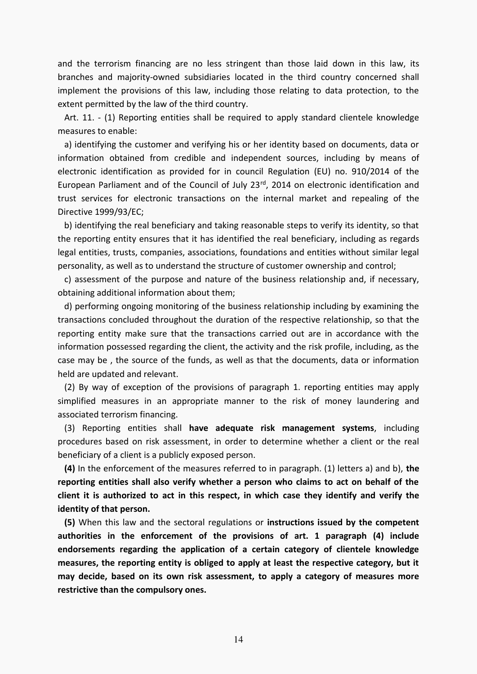and the terrorism financing are no less stringent than those laid down in this law, its branches and majority-owned subsidiaries located in the third country concerned shall implement the provisions of this law, including those relating to data protection, to the extent permitted by the law of the third country.

 Art. 11. - (1) Reporting entities shall be required to apply standard clientele knowledge measures to enable:

 a) identifying the customer and verifying his or her identity based on documents, data or information obtained from credible and independent sources, including by means of electronic identification as provided for in council Regulation (EU) no. 910/2014 of the European Parliament and of the Council of July 23<sup>rd</sup>, 2014 on electronic identification and trust services for electronic transactions on the internal market and repealing of the Directive 1999/93/EC;

 b) identifying the real beneficiary and taking reasonable steps to verify its identity, so that the reporting entity ensures that it has identified the real beneficiary, including as regards legal entities, trusts, companies, associations, foundations and entities without similar legal personality, as well as to understand the structure of customer ownership and control;

 c) assessment of the purpose and nature of the business relationship and, if necessary, obtaining additional information about them;

 d) performing ongoing monitoring of the business relationship including by examining the transactions concluded throughout the duration of the respective relationship, so that the reporting entity make sure that the transactions carried out are in accordance with the information possessed regarding the client, the activity and the risk profile, including, as the case may be , the source of the funds, as well as that the documents, data or information held are updated and relevant.

 (2) By way of exception of the provisions of paragraph 1. reporting entities may apply simplified measures in an appropriate manner to the risk of money laundering and associated terrorism financing.

 (3) Reporting entities shall **have adequate risk management systems**, including procedures based on risk assessment, in order to determine whether a client or the real beneficiary of a client is a publicly exposed person.

 **(4)** In the enforcement of the measures referred to in paragraph. (1) letters a) and b), **the reporting entities shall also verify whether a person who claims to act on behalf of the client it is authorized to act in this respect, in which case they identify and verify the identity of that person.** 

 **(5)** When this law and the sectoral regulations or **instructions issued by the competent authorities in the enforcement of the provisions of art. 1 paragraph (4) include endorsements regarding the application of a certain category of clientele knowledge measures, the reporting entity is obliged to apply at least the respective category, but it may decide, based on its own risk assessment, to apply a category of measures more restrictive than the compulsory ones.**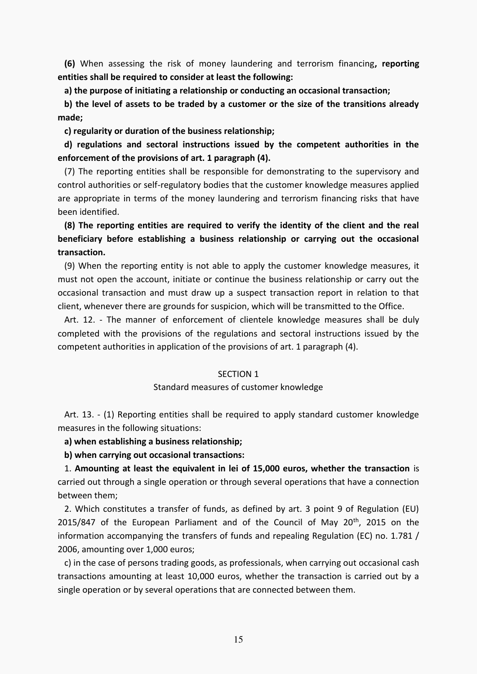**(6)** When assessing the risk of money laundering and terrorism financing**, reporting entities shall be required to consider at least the following:** 

 **a) the purpose of initiating a relationship or conducting an occasional transaction;** 

 **b) the level of assets to be traded by a customer or the size of the transitions already made;** 

 **c) regularity or duration of the business relationship;** 

 **d) regulations and sectoral instructions issued by the competent authorities in the enforcement of the provisions of art. 1 paragraph (4).** 

 (7) The reporting entities shall be responsible for demonstrating to the supervisory and control authorities or self-regulatory bodies that the customer knowledge measures applied are appropriate in terms of the money laundering and terrorism financing risks that have been identified.

# **(8) The reporting entities are required to verify the identity of the client and the real beneficiary before establishing a business relationship or carrying out the occasional transaction.**

 (9) When the reporting entity is not able to apply the customer knowledge measures, it must not open the account, initiate or continue the business relationship or carry out the occasional transaction and must draw up a suspect transaction report in relation to that client, whenever there are grounds for suspicion, which will be transmitted to the Office.

 Art. 12. - The manner of enforcement of clientele knowledge measures shall be duly completed with the provisions of the regulations and sectoral instructions issued by the competent authorities in application of the provisions of art. 1 paragraph (4).

## SECTION 1

#### Standard measures of customer knowledge

 Art. 13. - (1) Reporting entities shall be required to apply standard customer knowledge measures in the following situations:

## **a) when establishing a business relationship;**

 **b) when carrying out occasional transactions:** 

 1. **Amounting at least the equivalent in lei of 15,000 euros, whether the transaction** is carried out through a single operation or through several operations that have a connection between them;

 2. Which constitutes a transfer of funds, as defined by art. 3 point 9 of Regulation (EU) 2015/847 of the European Parliament and of the Council of May  $20<sup>th</sup>$ , 2015 on the information accompanying the transfers of funds and repealing Regulation (EC) no. 1.781 / 2006, amounting over 1,000 euros;

 c) in the case of persons trading goods, as professionals, when carrying out occasional cash transactions amounting at least 10,000 euros, whether the transaction is carried out by a single operation or by several operations that are connected between them.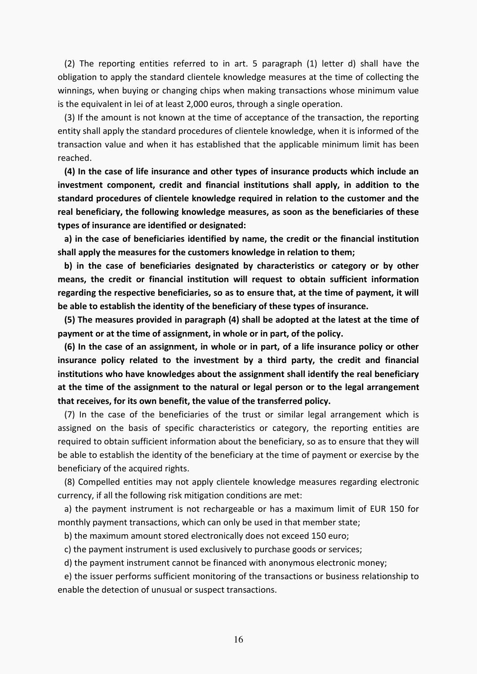(2) The reporting entities referred to in art. 5 paragraph (1) letter d) shall have the obligation to apply the standard clientele knowledge measures at the time of collecting the winnings, when buying or changing chips when making transactions whose minimum value is the equivalent in lei of at least 2,000 euros, through a single operation.

 (3) If the amount is not known at the time of acceptance of the transaction, the reporting entity shall apply the standard procedures of clientele knowledge, when it is informed of the transaction value and when it has established that the applicable minimum limit has been reached.

 **(4) In the case of life insurance and other types of insurance products which include an investment component, credit and financial institutions shall apply, in addition to the standard procedures of clientele knowledge required in relation to the customer and the real beneficiary, the following knowledge measures, as soon as the beneficiaries of these types of insurance are identified or designated:** 

 **a) in the case of beneficiaries identified by name, the credit or the financial institution shall apply the measures for the customers knowledge in relation to them;** 

 **b) in the case of beneficiaries designated by characteristics or category or by other means, the credit or financial institution will request to obtain sufficient information regarding the respective beneficiaries, so as to ensure that, at the time of payment, it will be able to establish the identity of the beneficiary of these types of insurance.** 

 **(5) The measures provided in paragraph (4) shall be adopted at the latest at the time of payment or at the time of assignment, in whole or in part, of the policy.** 

 **(6) In the case of an assignment, in whole or in part, of a life insurance policy or other insurance policy related to the investment by a third party, the credit and financial institutions who have knowledges about the assignment shall identify the real beneficiary at the time of the assignment to the natural or legal person or to the legal arrangement that receives, for its own benefit, the value of the transferred policy.** 

 (7) In the case of the beneficiaries of the trust or similar legal arrangement which is assigned on the basis of specific characteristics or category, the reporting entities are required to obtain sufficient information about the beneficiary, so as to ensure that they will be able to establish the identity of the beneficiary at the time of payment or exercise by the beneficiary of the acquired rights.

 (8) Compelled entities may not apply clientele knowledge measures regarding electronic currency, if all the following risk mitigation conditions are met:

 a) the payment instrument is not rechargeable or has a maximum limit of EUR 150 for monthly payment transactions, which can only be used in that member state;

b) the maximum amount stored electronically does not exceed 150 euro;

c) the payment instrument is used exclusively to purchase goods or services;

d) the payment instrument cannot be financed with anonymous electronic money;

 e) the issuer performs sufficient monitoring of the transactions or business relationship to enable the detection of unusual or suspect transactions.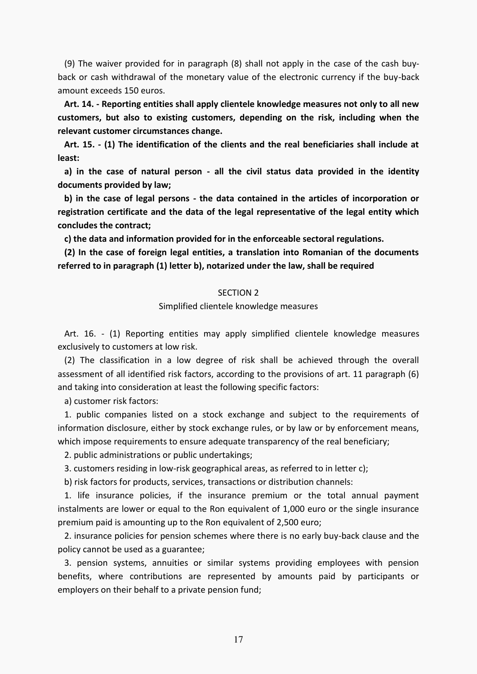(9) The waiver provided for in paragraph (8) shall not apply in the case of the cash buyback or cash withdrawal of the monetary value of the electronic currency if the buy-back amount exceeds 150 euros.

 **Art. 14. - Reporting entities shall apply clientele knowledge measures not only to all new customers, but also to existing customers, depending on the risk, including when the relevant customer circumstances change.** 

 **Art. 15. - (1) The identification of the clients and the real beneficiaries shall include at least:** 

 **a) in the case of natural person - all the civil status data provided in the identity documents provided by law;** 

 **b) in the case of legal persons - the data contained in the articles of incorporation or registration certificate and the data of the legal representative of the legal entity which concludes the contract;** 

 **c) the data and information provided for in the enforceable sectoral regulations.** 

 **(2) In the case of foreign legal entities, a translation into Romanian of the documents referred to in paragraph (1) letter b), notarized under the law, shall be required**

## SECTION 2

#### Simplified clientele knowledge measures

 Art. 16. - (1) Reporting entities may apply simplified clientele knowledge measures exclusively to customers at low risk.

 (2) The classification in a low degree of risk shall be achieved through the overall assessment of all identified risk factors, according to the provisions of art. 11 paragraph (6) and taking into consideration at least the following specific factors:

a) customer risk factors:

 1. public companies listed on a stock exchange and subject to the requirements of information disclosure, either by stock exchange rules, or by law or by enforcement means, which impose requirements to ensure adequate transparency of the real beneficiary;

2. public administrations or public undertakings;

3. customers residing in low-risk geographical areas, as referred to in letter c);

b) risk factors for products, services, transactions or distribution channels:

 1. life insurance policies, if the insurance premium or the total annual payment instalments are lower or equal to the Ron equivalent of 1,000 euro or the single insurance premium paid is amounting up to the Ron equivalent of 2,500 euro;

 2. insurance policies for pension schemes where there is no early buy-back clause and the policy cannot be used as a guarantee;

 3. pension systems, annuities or similar systems providing employees with pension benefits, where contributions are represented by amounts paid by participants or employers on their behalf to a private pension fund;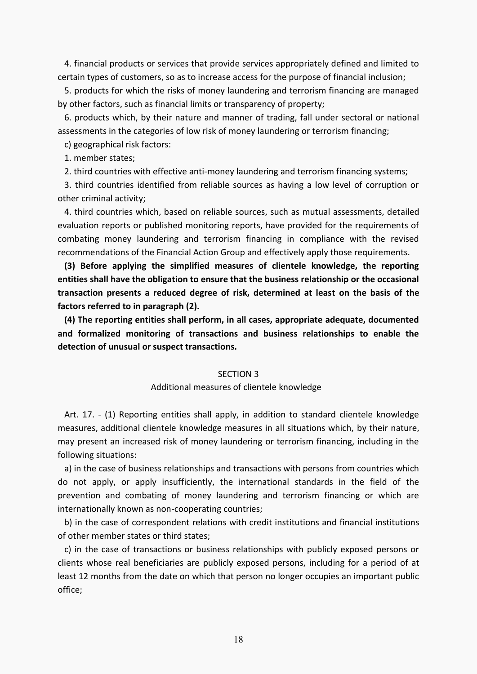4. financial products or services that provide services appropriately defined and limited to certain types of customers, so as to increase access for the purpose of financial inclusion;

 5. products for which the risks of money laundering and terrorism financing are managed by other factors, such as financial limits or transparency of property;

 6. products which, by their nature and manner of trading, fall under sectoral or national assessments in the categories of low risk of money laundering or terrorism financing;

c) geographical risk factors:

1. member states;

2. third countries with effective anti-money laundering and terrorism financing systems;

 3. third countries identified from reliable sources as having a low level of corruption or other criminal activity;

 4. third countries which, based on reliable sources, such as mutual assessments, detailed evaluation reports or published monitoring reports, have provided for the requirements of combating money laundering and terrorism financing in compliance with the revised recommendations of the Financial Action Group and effectively apply those requirements.

 **(3) Before applying the simplified measures of clientele knowledge, the reporting entities shall have the obligation to ensure that the business relationship or the occasional transaction presents a reduced degree of risk, determined at least on the basis of the factors referred to in paragraph (2).** 

 **(4) The reporting entities shall perform, in all cases, appropriate adequate, documented and formalized monitoring of transactions and business relationships to enable the detection of unusual or suspect transactions.** 

## SECTION 3

#### Additional measures of clientele knowledge

 Art. 17. - (1) Reporting entities shall apply, in addition to standard clientele knowledge measures, additional clientele knowledge measures in all situations which, by their nature, may present an increased risk of money laundering or terrorism financing, including in the following situations:

 a) in the case of business relationships and transactions with persons from countries which do not apply, or apply insufficiently, the international standards in the field of the prevention and combating of money laundering and terrorism financing or which are internationally known as non-cooperating countries;

 b) in the case of correspondent relations with credit institutions and financial institutions of other member states or third states;

 c) in the case of transactions or business relationships with publicly exposed persons or clients whose real beneficiaries are publicly exposed persons, including for a period of at least 12 months from the date on which that person no longer occupies an important public office;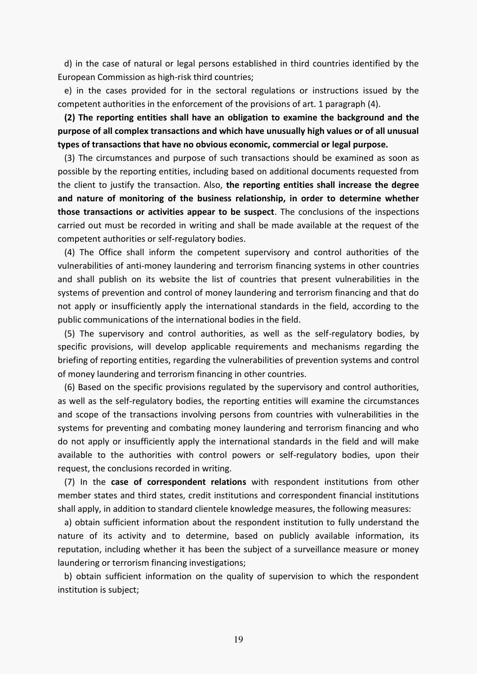d) in the case of natural or legal persons established in third countries identified by the European Commission as high-risk third countries;

 e) in the cases provided for in the sectoral regulations or instructions issued by the competent authorities in the enforcement of the provisions of art. 1 paragraph (4).

 **(2) The reporting entities shall have an obligation to examine the background and the purpose of all complex transactions and which have unusually high values or of all unusual types of transactions that have no obvious economic, commercial or legal purpose.** 

 (3) The circumstances and purpose of such transactions should be examined as soon as possible by the reporting entities, including based on additional documents requested from the client to justify the transaction. Also, **the reporting entities shall increase the degree and nature of monitoring of the business relationship, in order to determine whether those transactions or activities appear to be suspect**. The conclusions of the inspections carried out must be recorded in writing and shall be made available at the request of the competent authorities or self-regulatory bodies.

 (4) The Office shall inform the competent supervisory and control authorities of the vulnerabilities of anti-money laundering and terrorism financing systems in other countries and shall publish on its website the list of countries that present vulnerabilities in the systems of prevention and control of money laundering and terrorism financing and that do not apply or insufficiently apply the international standards in the field, according to the public communications of the international bodies in the field.

 (5) The supervisory and control authorities, as well as the self-regulatory bodies, by specific provisions, will develop applicable requirements and mechanisms regarding the briefing of reporting entities, regarding the vulnerabilities of prevention systems and control of money laundering and terrorism financing in other countries.

 (6) Based on the specific provisions regulated by the supervisory and control authorities, as well as the self-regulatory bodies, the reporting entities will examine the circumstances and scope of the transactions involving persons from countries with vulnerabilities in the systems for preventing and combating money laundering and terrorism financing and who do not apply or insufficiently apply the international standards in the field and will make available to the authorities with control powers or self-regulatory bodies, upon their request, the conclusions recorded in writing.

 (7) In the **case of correspondent relations** with respondent institutions from other member states and third states, credit institutions and correspondent financial institutions shall apply, in addition to standard clientele knowledge measures, the following measures:

 a) obtain sufficient information about the respondent institution to fully understand the nature of its activity and to determine, based on publicly available information, its reputation, including whether it has been the subject of a surveillance measure or money laundering or terrorism financing investigations;

 b) obtain sufficient information on the quality of supervision to which the respondent institution is subject;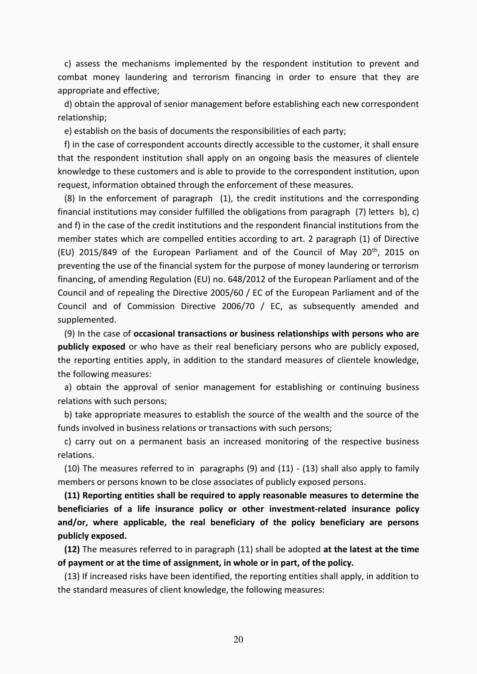c) assess the mechanisms implemented by the respondent institution to prevent and combat money laundering and terrorism financing in order to ensure that they are appropriate and effective;

 d) obtain the approval of senior management before establishing each new correspondent relationship;

e) establish on the basis of documents the responsibilities of each party;

 f) in the case of correspondent accounts directly accessible to the customer, it shall ensure that the respondent institution shall apply on an ongoing basis the measures of clientele knowledge to these customers and is able to provide to the correspondent institution, upon request, information obtained through the enforcement of these measures.

 (8) In the enforcement of paragraph (1), the credit institutions and the corresponding financial institutions may consider fulfilled the obligations from paragraph (7) letters b), c) and f) in the case of the credit institutions and the respondent financial institutions from the member states which are compelled entities according to art. 2 paragraph (1) of Directive (EU) 2015/849 of the European Parliament and of the Council of May  $20<sup>th</sup>$ , 2015 on preventing the use of the financial system for the purpose of money laundering or terrorism financing, of amending Regulation (EU) no. 648/2012 of the European Parliament and of the Council and of repealing the Directive 2005/60 / EC of the European Parliament and of the Council and of Commission Directive 2006/70 / EC, as subsequently amended and supplemented.

 (9) In the case of **occasional transactions or business relationships with persons who are publicly exposed** or who have as their real beneficiary persons who are publicly exposed, the reporting entities apply, in addition to the standard measures of clientele knowledge, the following measures:

 a) obtain the approval of senior management for establishing or continuing business relations with such persons;

 b) take appropriate measures to establish the source of the wealth and the source of the funds involved in business relations or transactions with such persons;

 c) carry out on a permanent basis an increased monitoring of the respective business relations.

 (10) The measures referred to in paragraphs (9) and (11) - (13) shall also apply to family members or persons known to be close associates of publicly exposed persons.

 **(11) Reporting entities shall be required to apply reasonable measures to determine the beneficiaries of a life insurance policy or other investment-related insurance policy and/or, where applicable, the real beneficiary of the policy beneficiary are persons publicly exposed.** 

 **(12)** The measures referred to in paragraph (11) shall be adopted **at the latest at the time of payment or at the time of assignment, in whole or in part, of the policy.** 

 (13) If increased risks have been identified, the reporting entities shall apply, in addition to the standard measures of client knowledge, the following measures: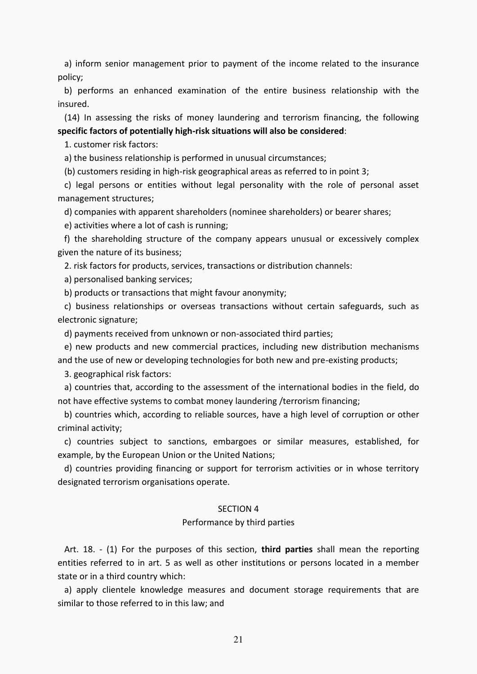a) inform senior management prior to payment of the income related to the insurance policy;

 b) performs an enhanced examination of the entire business relationship with the insured.

 (14) In assessing the risks of money laundering and terrorism financing, the following **specific factors of potentially high-risk situations will also be considered**:

1. customer risk factors:

a) the business relationship is performed in unusual circumstances;

(b) customers residing in high-risk geographical areas as referred to in point 3;

 c) legal persons or entities without legal personality with the role of personal asset management structures;

d) companies with apparent shareholders (nominee shareholders) or bearer shares;

e) activities where a lot of cash is running;

 f) the shareholding structure of the company appears unusual or excessively complex given the nature of its business;

2. risk factors for products, services, transactions or distribution channels:

a) personalised banking services;

b) products or transactions that might favour anonymity;

 c) business relationships or overseas transactions without certain safeguards, such as electronic signature;

d) payments received from unknown or non-associated third parties;

 e) new products and new commercial practices, including new distribution mechanisms and the use of new or developing technologies for both new and pre-existing products;

3. geographical risk factors:

 a) countries that, according to the assessment of the international bodies in the field, do not have effective systems to combat money laundering /terrorism financing;

 b) countries which, according to reliable sources, have a high level of corruption or other criminal activity;

 c) countries subject to sanctions, embargoes or similar measures, established, for example, by the European Union or the United Nations;

 d) countries providing financing or support for terrorism activities or in whose territory designated terrorism organisations operate.

## SECTION 4

## Performance by third parties

 Art. 18. - (1) For the purposes of this section, **third parties** shall mean the reporting entities referred to in art. 5 as well as other institutions or persons located in a member state or in a third country which:

 a) apply clientele knowledge measures and document storage requirements that are similar to those referred to in this law; and

21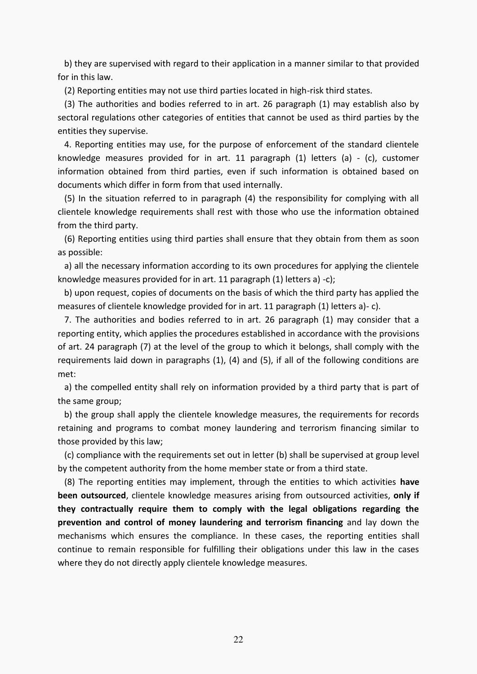b) they are supervised with regard to their application in a manner similar to that provided for in this law.

(2) Reporting entities may not use third parties located in high-risk third states.

 (3) The authorities and bodies referred to in art. 26 paragraph (1) may establish also by sectoral regulations other categories of entities that cannot be used as third parties by the entities they supervise.

 4. Reporting entities may use, for the purpose of enforcement of the standard clientele knowledge measures provided for in art. 11 paragraph (1) letters (a) - (c), customer information obtained from third parties, even if such information is obtained based on documents which differ in form from that used internally.

 (5) In the situation referred to in paragraph (4) the responsibility for complying with all clientele knowledge requirements shall rest with those who use the information obtained from the third party.

 (6) Reporting entities using third parties shall ensure that they obtain from them as soon as possible:

 a) all the necessary information according to its own procedures for applying the clientele knowledge measures provided for in art. 11 paragraph (1) letters a) -c);

 b) upon request, copies of documents on the basis of which the third party has applied the measures of clientele knowledge provided for in art. 11 paragraph (1) letters a)- c).

 7. The authorities and bodies referred to in art. 26 paragraph (1) may consider that a reporting entity, which applies the procedures established in accordance with the provisions of art. 24 paragraph (7) at the level of the group to which it belongs, shall comply with the requirements laid down in paragraphs (1), (4) and (5), if all of the following conditions are met:

 a) the compelled entity shall rely on information provided by a third party that is part of the same group;

 b) the group shall apply the clientele knowledge measures, the requirements for records retaining and programs to combat money laundering and terrorism financing similar to those provided by this law;

 (c) compliance with the requirements set out in letter (b) shall be supervised at group level by the competent authority from the home member state or from a third state.

 (8) The reporting entities may implement, through the entities to which activities **have been outsourced**, clientele knowledge measures arising from outsourced activities, **only if they contractually require them to comply with the legal obligations regarding the prevention and control of money laundering and terrorism financing** and lay down the mechanisms which ensures the compliance. In these cases, the reporting entities shall continue to remain responsible for fulfilling their obligations under this law in the cases where they do not directly apply clientele knowledge measures.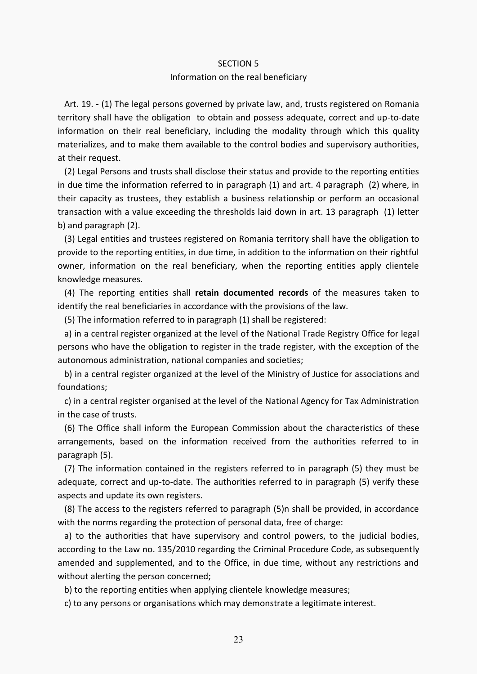#### SECTION 5

#### Information on the real beneficiary

 Art. 19. - (1) The legal persons governed by private law, and, trusts registered on Romania territory shall have the obligation to obtain and possess adequate, correct and up-to-date information on their real beneficiary, including the modality through which this quality materializes, and to make them available to the control bodies and supervisory authorities, at their request.

 (2) Legal Persons and trusts shall disclose their status and provide to the reporting entities in due time the information referred to in paragraph (1) and art. 4 paragraph (2) where, in their capacity as trustees, they establish a business relationship or perform an occasional transaction with a value exceeding the thresholds laid down in art. 13 paragraph (1) letter b) and paragraph (2).

 (3) Legal entities and trustees registered on Romania territory shall have the obligation to provide to the reporting entities, in due time, in addition to the information on their rightful owner, information on the real beneficiary, when the reporting entities apply clientele knowledge measures.

 (4) The reporting entities shall **retain documented records** of the measures taken to identify the real beneficiaries in accordance with the provisions of the law.

(5) The information referred to in paragraph (1) shall be registered:

 a) in a central register organized at the level of the National Trade Registry Office for legal persons who have the obligation to register in the trade register, with the exception of the autonomous administration, national companies and societies;

 b) in a central register organized at the level of the Ministry of Justice for associations and foundations;

 c) in a central register organised at the level of the National Agency for Tax Administration in the case of trusts.

 (6) The Office shall inform the European Commission about the characteristics of these arrangements, based on the information received from the authorities referred to in paragraph (5).

 (7) The information contained in the registers referred to in paragraph (5) they must be adequate, correct and up-to-date. The authorities referred to in paragraph (5) verify these aspects and update its own registers.

 (8) The access to the registers referred to paragraph (5)n shall be provided, in accordance with the norms regarding the protection of personal data, free of charge:

 a) to the authorities that have supervisory and control powers, to the judicial bodies, according to the Law no. 135/2010 regarding the Criminal Procedure Code, as subsequently amended and supplemented, and to the Office, in due time, without any restrictions and without alerting the person concerned;

b) to the reporting entities when applying clientele knowledge measures;

c) to any persons or organisations which may demonstrate a legitimate interest.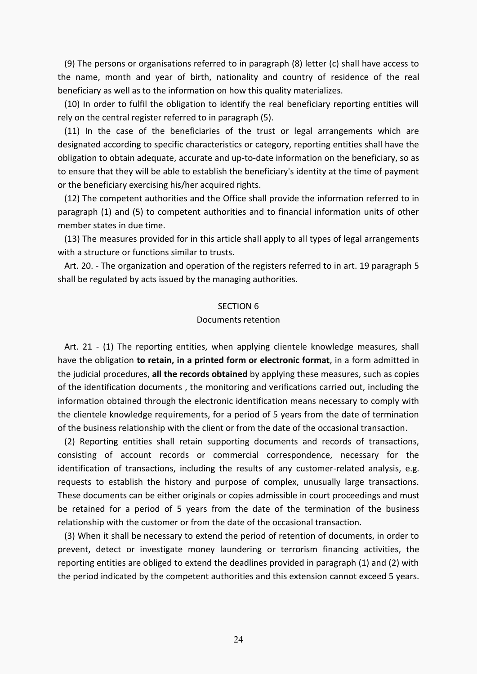(9) The persons or organisations referred to in paragraph (8) letter (c) shall have access to the name, month and year of birth, nationality and country of residence of the real beneficiary as well as to the information on how this quality materializes.

 (10) In order to fulfil the obligation to identify the real beneficiary reporting entities will rely on the central register referred to in paragraph (5).

 (11) In the case of the beneficiaries of the trust or legal arrangements which are designated according to specific characteristics or category, reporting entities shall have the obligation to obtain adequate, accurate and up-to-date information on the beneficiary, so as to ensure that they will be able to establish the beneficiary's identity at the time of payment or the beneficiary exercising his/her acquired rights.

 (12) The competent authorities and the Office shall provide the information referred to in paragraph (1) and (5) to competent authorities and to financial information units of other member states in due time.

 (13) The measures provided for in this article shall apply to all types of legal arrangements with a structure or functions similar to trusts.

 Art. 20. - The organization and operation of the registers referred to in art. 19 paragraph 5 shall be regulated by acts issued by the managing authorities.

### SECTION 6

## Documents retention

 Art. 21 - (1) The reporting entities, when applying clientele knowledge measures, shall have the obligation **to retain, in a printed form or electronic format**, in a form admitted in the judicial procedures, **all the records obtained** by applying these measures, such as copies of the identification documents , the monitoring and verifications carried out, including the information obtained through the electronic identification means necessary to comply with the clientele knowledge requirements, for a period of 5 years from the date of termination of the business relationship with the client or from the date of the occasional transaction.

 (2) Reporting entities shall retain supporting documents and records of transactions, consisting of account records or commercial correspondence, necessary for the identification of transactions, including the results of any customer-related analysis, e.g. requests to establish the history and purpose of complex, unusually large transactions. These documents can be either originals or copies admissible in court proceedings and must be retained for a period of 5 years from the date of the termination of the business relationship with the customer or from the date of the occasional transaction.

 (3) When it shall be necessary to extend the period of retention of documents, in order to prevent, detect or investigate money laundering or terrorism financing activities, the reporting entities are obliged to extend the deadlines provided in paragraph (1) and (2) with the period indicated by the competent authorities and this extension cannot exceed 5 years.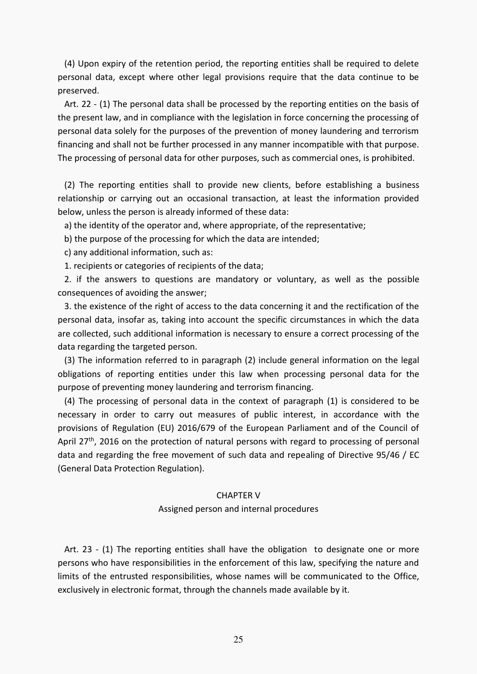(4) Upon expiry of the retention period, the reporting entities shall be required to delete personal data, except where other legal provisions require that the data continue to be preserved.

 Art. 22 - (1) The personal data shall be processed by the reporting entities on the basis of the present law, and in compliance with the legislation in force concerning the processing of personal data solely for the purposes of the prevention of money laundering and terrorism financing and shall not be further processed in any manner incompatible with that purpose. The processing of personal data for other purposes, such as commercial ones, is prohibited.

 (2) The reporting entities shall to provide new clients, before establishing a business relationship or carrying out an occasional transaction, at least the information provided below, unless the person is already informed of these data:

a) the identity of the operator and, where appropriate, of the representative;

b) the purpose of the processing for which the data are intended;

c) any additional information, such as:

1. recipients or categories of recipients of the data;

 2. if the answers to questions are mandatory or voluntary, as well as the possible consequences of avoiding the answer;

 3. the existence of the right of access to the data concerning it and the rectification of the personal data, insofar as, taking into account the specific circumstances in which the data are collected, such additional information is necessary to ensure a correct processing of the data regarding the targeted person.

 (3) The information referred to in paragraph (2) include general information on the legal obligations of reporting entities under this law when processing personal data for the purpose of preventing money laundering and terrorism financing.

 (4) The processing of personal data in the context of paragraph (1) is considered to be necessary in order to carry out measures of public interest, in accordance with the provisions of Regulation (EU) 2016/679 of the European Parliament and of the Council of April 27<sup>th</sup>, 2016 on the protection of natural persons with regard to processing of personal data and regarding the free movement of such data and repealing of Directive 95/46 / EC (General Data Protection Regulation).

## CHAPTER V

## Assigned person and internal procedures

 Art. 23 - (1) The reporting entities shall have the obligation to designate one or more persons who have responsibilities in the enforcement of this law, specifying the nature and limits of the entrusted responsibilities, whose names will be communicated to the Office, exclusively in electronic format, through the channels made available by it.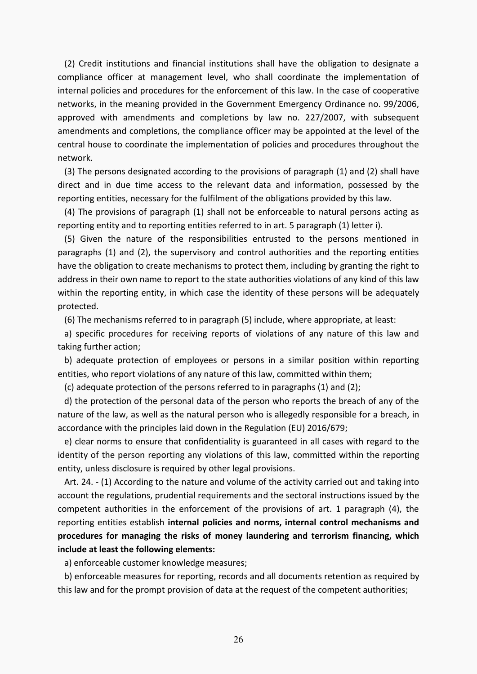(2) Credit institutions and financial institutions shall have the obligation to designate a compliance officer at management level, who shall coordinate the implementation of internal policies and procedures for the enforcement of this law. In the case of cooperative networks, in the meaning provided in the Government Emergency Ordinance no. 99/2006, approved with amendments and completions by law no. 227/2007, with subsequent amendments and completions, the compliance officer may be appointed at the level of the central house to coordinate the implementation of policies and procedures throughout the network.

 (3) The persons designated according to the provisions of paragraph (1) and (2) shall have direct and in due time access to the relevant data and information, possessed by the reporting entities, necessary for the fulfilment of the obligations provided by this law.

 (4) The provisions of paragraph (1) shall not be enforceable to natural persons acting as reporting entity and to reporting entities referred to in art. 5 paragraph (1) letter i).

 (5) Given the nature of the responsibilities entrusted to the persons mentioned in paragraphs (1) and (2), the supervisory and control authorities and the reporting entities have the obligation to create mechanisms to protect them, including by granting the right to address in their own name to report to the state authorities violations of any kind of this law within the reporting entity, in which case the identity of these persons will be adequately protected.

(6) The mechanisms referred to in paragraph (5) include, where appropriate, at least:

 a) specific procedures for receiving reports of violations of any nature of this law and taking further action;

 b) adequate protection of employees or persons in a similar position within reporting entities, who report violations of any nature of this law, committed within them;

(c) adequate protection of the persons referred to in paragraphs (1) and (2);

 d) the protection of the personal data of the person who reports the breach of any of the nature of the law, as well as the natural person who is allegedly responsible for a breach, in accordance with the principles laid down in the Regulation (EU) 2016/679;

 e) clear norms to ensure that confidentiality is guaranteed in all cases with regard to the identity of the person reporting any violations of this law, committed within the reporting entity, unless disclosure is required by other legal provisions.

 Art. 24. - (1) According to the nature and volume of the activity carried out and taking into account the regulations, prudential requirements and the sectoral instructions issued by the competent authorities in the enforcement of the provisions of art. 1 paragraph (4), the reporting entities establish **internal policies and norms, internal control mechanisms and procedures for managing the risks of money laundering and terrorism financing, which include at least the following elements:**

a) enforceable customer knowledge measures;

 b) enforceable measures for reporting, records and all documents retention as required by this law and for the prompt provision of data at the request of the competent authorities;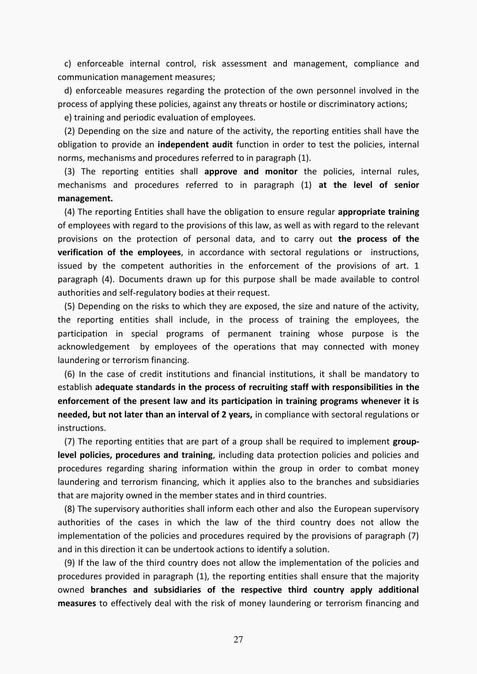c) enforceable internal control, risk assessment and management, compliance and communication management measures;

 d) enforceable measures regarding the protection of the own personnel involved in the process of applying these policies, against any threats or hostile or discriminatory actions;

e) training and periodic evaluation of employees.

 (2) Depending on the size and nature of the activity, the reporting entities shall have the obligation to provide an **independent audit** function in order to test the policies, internal norms, mechanisms and procedures referred to in paragraph (1).

 (3) The reporting entities shall **approve and monitor** the policies, internal rules, mechanisms and procedures referred to in paragraph (1) **at the level of senior management.** 

 (4) The reporting Entities shall have the obligation to ensure regular **appropriate training** of employees with regard to the provisions of this law, as well as with regard to the relevant provisions on the protection of personal data, and to carry out **the process of the verification of the employees**, in accordance with sectoral regulations or instructions, issued by the competent authorities in the enforcement of the provisions of art. 1 paragraph (4). Documents drawn up for this purpose shall be made available to control authorities and self-regulatory bodies at their request.

 (5) Depending on the risks to which they are exposed, the size and nature of the activity, the reporting entities shall include, in the process of training the employees, the participation in special programs of permanent training whose purpose is the acknowledgement by employees of the operations that may connected with money laundering or terrorism financing.

 (6) In the case of credit institutions and financial institutions, it shall be mandatory to establish **adequate standards in the process of recruiting staff with responsibilities in the enforcement of the present law and its participation in training programs whenever it is needed, but not later than an interval of 2 years,** in compliance with sectoral regulations or instructions.

 (7) The reporting entities that are part of a group shall be required to implement **grouplevel policies, procedures and training**, including data protection policies and policies and procedures regarding sharing information within the group in order to combat money laundering and terrorism financing, which it applies also to the branches and subsidiaries that are majority owned in the member states and in third countries.

 (8) The supervisory authorities shall inform each other and also the European supervisory authorities of the cases in which the law of the third country does not allow the implementation of the policies and procedures required by the provisions of paragraph (7) and in this direction it can be undertook actions to identify a solution.

(9) If the law of the third country does not allow the implementation of the policies and procedures provided in paragraph (1), the reporting entities shall ensure that the majority owned **branches and subsidiaries of the respective third country apply additional measures** to effectively deal with the risk of money laundering or terrorism financing and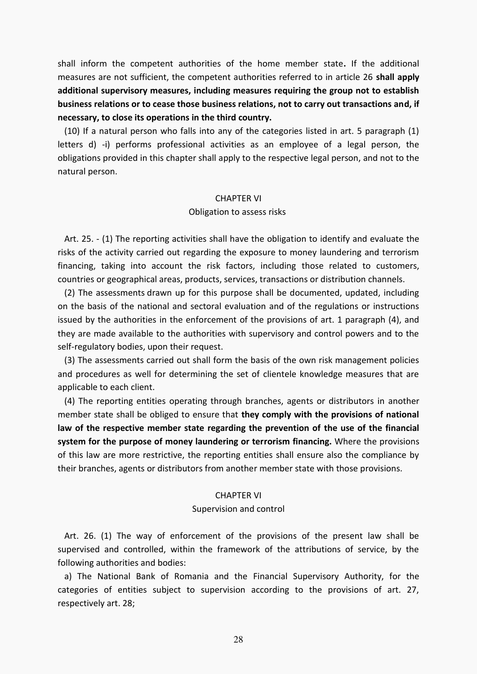shall inform the competent authorities of the home member state**.** If the additional measures are not sufficient, the competent authorities referred to in article 26 **shall apply additional supervisory measures, including measures requiring the group not to establish business relations or to cease those business relations, not to carry out transactions and, if necessary, to close its operations in the third country.** 

 (10) If a natural person who falls into any of the categories listed in art. 5 paragraph (1) letters d) -i) performs professional activities as an employee of a legal person, the obligations provided in this chapter shall apply to the respective legal person, and not to the natural person.

## CHAPTER VI

## Obligation to assess risks

 Art. 25. - (1) The reporting activities shall have the obligation to identify and evaluate the risks of the activity carried out regarding the exposure to money laundering and terrorism financing, taking into account the risk factors, including those related to customers, countries or geographical areas, products, services, transactions or distribution channels.

 (2) The assessments drawn up for this purpose shall be documented, updated, including on the basis of the national and sectoral evaluation and of the regulations or instructions issued by the authorities in the enforcement of the provisions of art. 1 paragraph (4), and they are made available to the authorities with supervisory and control powers and to the self-regulatory bodies, upon their request.

 (3) The assessments carried out shall form the basis of the own risk management policies and procedures as well for determining the set of clientele knowledge measures that are applicable to each client.

 (4) The reporting entities operating through branches, agents or distributors in another member state shall be obliged to ensure that **they comply with the provisions of national law of the respective member state regarding the prevention of the use of the financial system for the purpose of money laundering or terrorism financing.** Where the provisions of this law are more restrictive, the reporting entities shall ensure also the compliance by their branches, agents or distributors from another member state with those provisions.

## CHAPTER VI

#### Supervision and control

 Art. 26. (1) The way of enforcement of the provisions of the present law shall be supervised and controlled, within the framework of the attributions of service, by the following authorities and bodies:

 a) The National Bank of Romania and the Financial Supervisory Authority, for the categories of entities subject to supervision according to the provisions of art. 27, respectively art. 28;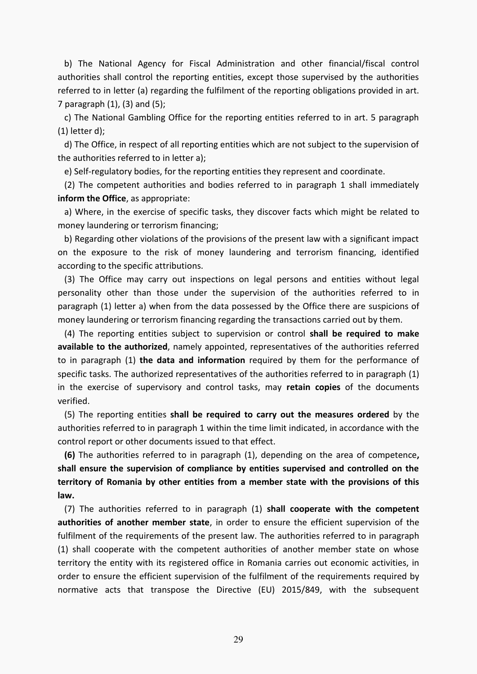b) The National Agency for Fiscal Administration and other financial/fiscal control authorities shall control the reporting entities, except those supervised by the authorities referred to in letter (a) regarding the fulfilment of the reporting obligations provided in art. 7 paragraph  $(1)$ ,  $(3)$  and  $(5)$ ;

 c) The National Gambling Office for the reporting entities referred to in art. 5 paragraph (1) letter d);

 d) The Office, in respect of all reporting entities which are not subject to the supervision of the authorities referred to in letter a);

e) Self-regulatory bodies, for the reporting entities they represent and coordinate.

 (2) The competent authorities and bodies referred to in paragraph 1 shall immediately **inform the Office**, as appropriate:

 a) Where, in the exercise of specific tasks, they discover facts which might be related to money laundering or terrorism financing;

 b) Regarding other violations of the provisions of the present law with a significant impact on the exposure to the risk of money laundering and terrorism financing, identified according to the specific attributions.

 (3) The Office may carry out inspections on legal persons and entities without legal personality other than those under the supervision of the authorities referred to in paragraph (1) letter a) when from the data possessed by the Office there are suspicions of money laundering or terrorism financing regarding the transactions carried out by them.

 (4) The reporting entities subject to supervision or control **shall be required to make available to the authorized**, namely appointed, representatives of the authorities referred to in paragraph (1) **the data and information** required by them for the performance of specific tasks. The authorized representatives of the authorities referred to in paragraph (1) in the exercise of supervisory and control tasks, may **retain copies** of the documents verified.

 (5) The reporting entities **shall be required to carry out the measures ordered** by the authorities referred to in paragraph 1 within the time limit indicated, in accordance with the control report or other documents issued to that effect.

 **(6)** The authorities referred to in paragraph (1), depending on the area of competence**, shall ensure the supervision of compliance by entities supervised and controlled on the territory of Romania by other entities from a member state with the provisions of this law.** 

 (7) The authorities referred to in paragraph (1) **shall cooperate with the competent authorities of another member state**, in order to ensure the efficient supervision of the fulfilment of the requirements of the present law. The authorities referred to in paragraph (1) shall cooperate with the competent authorities of another member state on whose territory the entity with its registered office in Romania carries out economic activities, in order to ensure the efficient supervision of the fulfilment of the requirements required by normative acts that transpose the Directive (EU) 2015/849, with the subsequent

29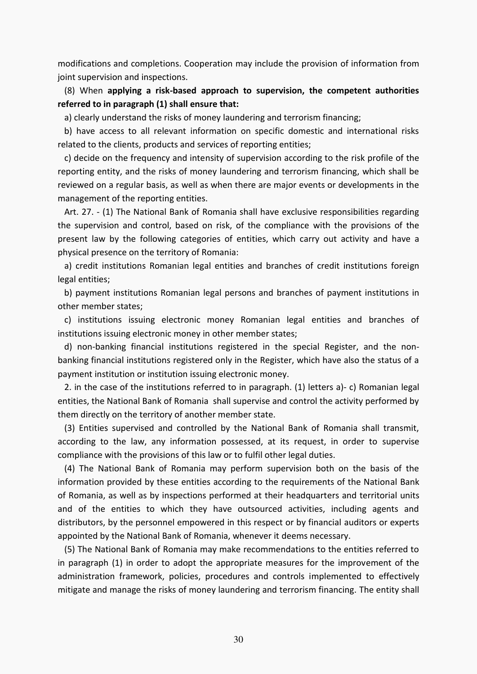modifications and completions. Cooperation may include the provision of information from joint supervision and inspections.

 (8) When **applying a risk-based approach to supervision, the competent authorities referred to in paragraph (1) shall ensure that:**

a) clearly understand the risks of money laundering and terrorism financing;

 b) have access to all relevant information on specific domestic and international risks related to the clients, products and services of reporting entities;

 c) decide on the frequency and intensity of supervision according to the risk profile of the reporting entity, and the risks of money laundering and terrorism financing, which shall be reviewed on a regular basis, as well as when there are major events or developments in the management of the reporting entities.

 Art. 27. - (1) The National Bank of Romania shall have exclusive responsibilities regarding the supervision and control, based on risk, of the compliance with the provisions of the present law by the following categories of entities, which carry out activity and have a physical presence on the territory of Romania:

 a) credit institutions Romanian legal entities and branches of credit institutions foreign legal entities;

 b) payment institutions Romanian legal persons and branches of payment institutions in other member states;

 c) institutions issuing electronic money Romanian legal entities and branches of institutions issuing electronic money in other member states;

 d) non-banking financial institutions registered in the special Register, and the nonbanking financial institutions registered only in the Register, which have also the status of a payment institution or institution issuing electronic money.

 2. in the case of the institutions referred to in paragraph. (1) letters a)- c) Romanian legal entities, the National Bank of Romania shall supervise and control the activity performed by them directly on the territory of another member state.

 (3) Entities supervised and controlled by the National Bank of Romania shall transmit, according to the law, any information possessed, at its request, in order to supervise compliance with the provisions of this law or to fulfil other legal duties.

 (4) The National Bank of Romania may perform supervision both on the basis of the information provided by these entities according to the requirements of the National Bank of Romania, as well as by inspections performed at their headquarters and territorial units and of the entities to which they have outsourced activities, including agents and distributors, by the personnel empowered in this respect or by financial auditors or experts appointed by the National Bank of Romania, whenever it deems necessary.

 (5) The National Bank of Romania may make recommendations to the entities referred to in paragraph (1) in order to adopt the appropriate measures for the improvement of the administration framework, policies, procedures and controls implemented to effectively mitigate and manage the risks of money laundering and terrorism financing. The entity shall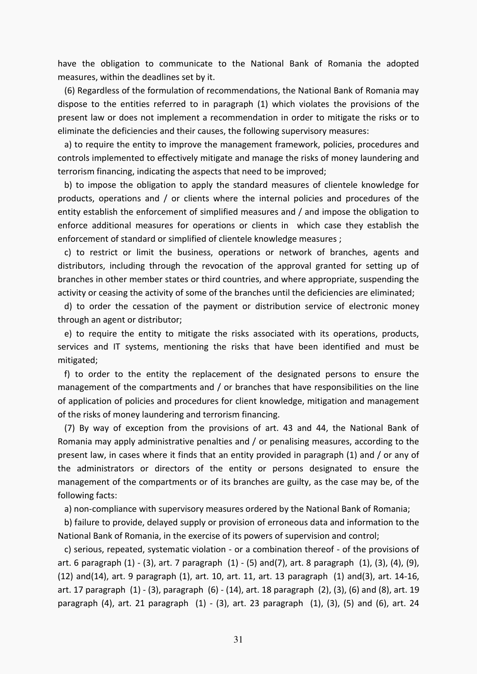have the obligation to communicate to the National Bank of Romania the adopted measures, within the deadlines set by it.

 (6) Regardless of the formulation of recommendations, the National Bank of Romania may dispose to the entities referred to in paragraph (1) which violates the provisions of the present law or does not implement a recommendation in order to mitigate the risks or to eliminate the deficiencies and their causes, the following supervisory measures:

 a) to require the entity to improve the management framework, policies, procedures and controls implemented to effectively mitigate and manage the risks of money laundering and terrorism financing, indicating the aspects that need to be improved;

 b) to impose the obligation to apply the standard measures of clientele knowledge for products, operations and / or clients where the internal policies and procedures of the entity establish the enforcement of simplified measures and / and impose the obligation to enforce additional measures for operations or clients in which case they establish the enforcement of standard or simplified of clientele knowledge measures ;

 c) to restrict or limit the business, operations or network of branches, agents and distributors, including through the revocation of the approval granted for setting up of branches in other member states or third countries, and where appropriate, suspending the activity or ceasing the activity of some of the branches until the deficiencies are eliminated;

 d) to order the cessation of the payment or distribution service of electronic money through an agent or distributor;

 e) to require the entity to mitigate the risks associated with its operations, products, services and IT systems, mentioning the risks that have been identified and must be mitigated;

 f) to order to the entity the replacement of the designated persons to ensure the management of the compartments and / or branches that have responsibilities on the line of application of policies and procedures for client knowledge, mitigation and management of the risks of money laundering and terrorism financing.

 (7) By way of exception from the provisions of art. 43 and 44, the National Bank of Romania may apply administrative penalties and / or penalising measures, according to the present law, in cases where it finds that an entity provided in paragraph (1) and / or any of the administrators or directors of the entity or persons designated to ensure the management of the compartments or of its branches are guilty, as the case may be, of the following facts:

a) non-compliance with supervisory measures ordered by the National Bank of Romania;

 b) failure to provide, delayed supply or provision of erroneous data and information to the National Bank of Romania, in the exercise of its powers of supervision and control;

 c) serious, repeated, systematic violation - or a combination thereof - of the provisions of art. 6 [paragraph \(1\)](act:3396588%20290439786) - [\(3\),](act:3396588%20290439792) art. 7 [paragraph \(1\)](act:3396588%20290439796) - [\(5\)](act:3396588%20290439800) an[d\(7\),](act:3396588%20290439802) art. 8 [paragraph \(1\),](act:3396588%20290439805) [\(3\),](act:3396588%20290439807) [\(4\),](act:3396588%20290439808) [\(9\),](act:3396588%20290439813) [\(12\)](act:3396588%20290439816) an[d\(14\),](act:3396588%20290439818) art. 9 [paragraph \(1\),](act:3396588%20290439821) [art. 10,](act:3396588%20290439828) [art. 11,](act:3396588%20290439836) art. 13 [paragraph \(1\)](act:3396588%20290439858) an[d\(3\),](act:3396588%20290439865) [art. 14](act:3396588%20290439879)[-16,](act:3396588%20290439888) art. 1[7 paragraph \(1\)](act:3396588%20290439911) [- \(3\),](act:3396588%20290439918) [paragraph \(6\)](act:3396588%20290439921) - [\(14\),](act:3396588%20290439940) art. 18 [paragraph \(2\),](act:3396588%20290439964) [\(3\),](act:3396588%20290439965) [\(6\)](act:3396588%20290439968) and [\(8\),](act:3396588%20290439975) art. 19 [paragraph \(4\),](act:3396588%20290439981) art. 21 [paragraph \(1\)](act:3396588%20290440001) - [\(3\),](act:3396588%20290440003) art. 23 [paragraph \(1\),](act:3396588%20290440018) [\(3\),](act:3396588%20290440020) [\(5\)](act:3396588%20290440022) and [\(6\),](act:3396588%20290440023) art. 24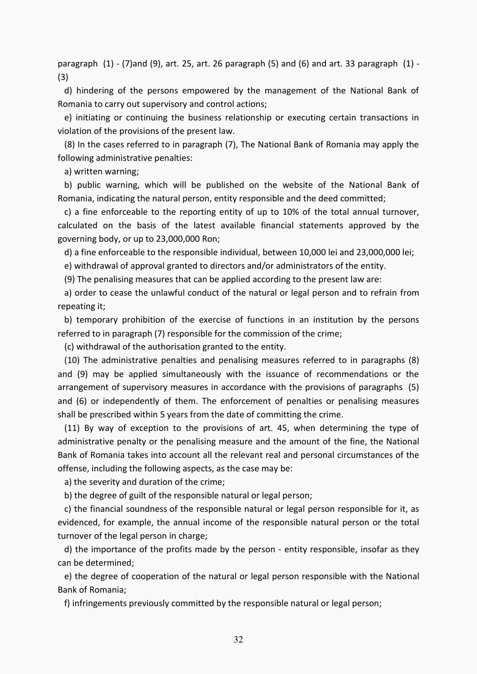[paragraph \(1\)](act:3396588%20290440030) - [\(7\)a](act:3396588%20290440041)nd [\(9\),](act:3396588%20290440043) [art. 25,](act:3396588%20290440046) art. 26 [paragraph \(5\)](act:3396588%20290440064) and [\(6\)](act:3396588%20290440065) and art. 33 [paragraph \(1\)](act:3396588%20290440157) - [\(3\)](act:3396588%20290440159) 

 d) hindering of the persons empowered by the management of the National Bank of Romania to carry out supervisory and control actions;

 e) initiating or continuing the business relationship or executing certain transactions in violation of the provisions of the present law.

 (8) In the cases referred to in paragraph (7), The National Bank of Romania may apply the following administrative penalties:

a) written warning;

 b) public warning, which will be published on the website of the National Bank of Romania, indicating the natural person, entity responsible and the deed committed;

 c) a fine enforceable to the reporting entity of up to 10% of the total annual turnover, calculated on the basis of the latest available financial statements approved by the governing body, or up to 23,000,000 Ron;

d) a fine enforceable to the responsible individual, between 10,000 lei and 23,000,000 lei;

e) withdrawal of approval granted to directors and/or administrators of the entity.

(9) The penalising measures that can be applied according to the present law are:

 a) order to cease the unlawful conduct of the natural or legal person and to refrain from repeating it;

 b) temporary prohibition of the exercise of functions in an institution by the persons referred to in paragraph (7) responsible for the commission of the crime;

(c) withdrawal of the authorisation granted to the entity.

 (10) The administrative penalties and penalising measures referred to in paragraphs (8) and (9) may be applied simultaneously with the issuance of recommendations or the arrangement of supervisory measures in accordance with the provisions of paragraphs (5) and (6) or independently of them. The enforcement of penalties or penalising measures shall be prescribed within 5 years from the date of committing the crime.

 (11) By way of exception to the provisions of art. 45, when determining the type of administrative penalty or the penalising measure and the amount of the fine, the National Bank of Romania takes into account all the relevant real and personal circumstances of the offense, including the following aspects, as the case may be:

a) the severity and duration of the crime;

b) the degree of guilt of the responsible natural or legal person;

 c) the financial soundness of the responsible natural or legal person responsible for it, as evidenced, for example, the annual income of the responsible natural person or the total turnover of the legal person in charge;

 d) the importance of the profits made by the person - entity responsible, insofar as they can be determined;

 e) the degree of cooperation of the natural or legal person responsible with the National Bank of Romania;

f) infringements previously committed by the responsible natural or legal person;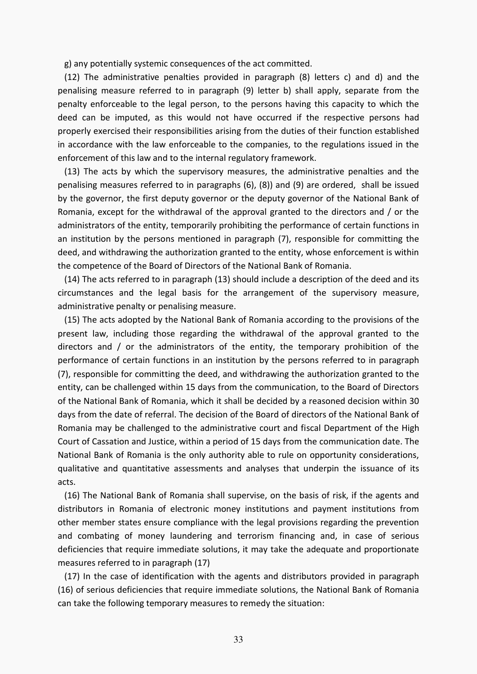g) any potentially systemic consequences of the act committed.

 (12) The administrative penalties provided in paragraph (8) letters c) and d) and the penalising measure referred to in paragraph (9) letter b) shall apply, separate from the penalty enforceable to the legal person, to the persons having this capacity to which the deed can be imputed, as this would not have occurred if the respective persons had properly exercised their responsibilities arising from the duties of their function established in accordance with the law enforceable to the companies, to the regulations issued in the enforcement of this law and to the internal regulatory framework.

 (13) The acts by which the supervisory measures, the administrative penalties and the penalising measures referred to in paragraphs (6), (8)) and (9) are ordered, shall be issued by the governor, the first deputy governor or the deputy governor of the National Bank of Romania, except for the withdrawal of the approval granted to the directors and / or the administrators of the entity, temporarily prohibiting the performance of certain functions in an institution by the persons mentioned in paragraph (7), responsible for committing the deed, and withdrawing the authorization granted to the entity, whose enforcement is within the competence of the Board of Directors of the National Bank of Romania.

 (14) The acts referred to in paragraph (13) should include a description of the deed and its circumstances and the legal basis for the arrangement of the supervisory measure, administrative penalty or penalising measure.

 (15) The acts adopted by the National Bank of Romania according to the provisions of the present law, including those regarding the withdrawal of the approval granted to the directors and / or the administrators of the entity, the temporary prohibition of the performance of certain functions in an institution by the persons referred to in paragraph (7), responsible for committing the deed, and withdrawing the authorization granted to the entity, can be challenged within 15 days from the communication, to the Board of Directors of the National Bank of Romania, which it shall be decided by a reasoned decision within 30 days from the date of referral. The decision of the Board of directors of the National Bank of Romania may be challenged to the administrative court and fiscal Department of the High Court of Cassation and Justice, within a period of 15 days from the communication date. The National Bank of Romania is the only authority able to rule on opportunity considerations, qualitative and quantitative assessments and analyses that underpin the issuance of its acts.

 (16) The National Bank of Romania shall supervise, on the basis of risk, if the agents and distributors in Romania of electronic money institutions and payment institutions from other member states ensure compliance with the legal provisions regarding the prevention and combating of money laundering and terrorism financing and, in case of serious deficiencies that require immediate solutions, it may take the adequate and proportionate measures referred to in paragraph (17)

 (17) In the case of identification with the agents and distributors provided in paragraph (16) of serious deficiencies that require immediate solutions, the National Bank of Romania can take the following temporary measures to remedy the situation: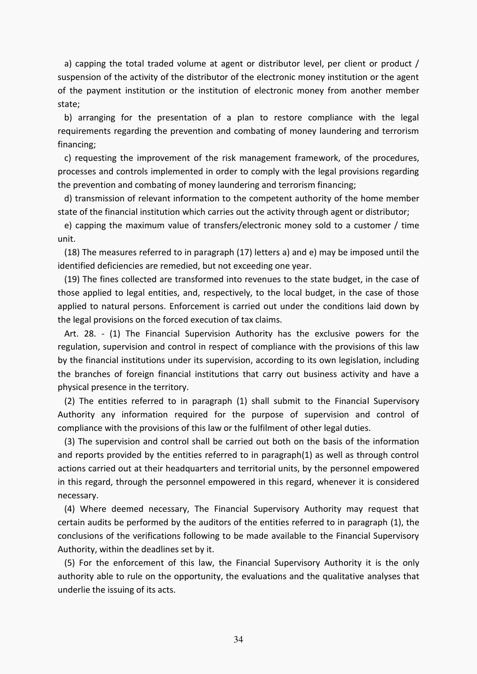a) capping the total traded volume at agent or distributor level, per client or product / suspension of the activity of the distributor of the electronic money institution or the agent of the payment institution or the institution of electronic money from another member state;

 b) arranging for the presentation of a plan to restore compliance with the legal requirements regarding the prevention and combating of money laundering and terrorism financing;

 c) requesting the improvement of the risk management framework, of the procedures, processes and controls implemented in order to comply with the legal provisions regarding the prevention and combating of money laundering and terrorism financing;

 d) transmission of relevant information to the competent authority of the home member state of the financial institution which carries out the activity through agent or distributor;

 e) capping the maximum value of transfers/electronic money sold to a customer / time unit.

 (18) The measures referred to in paragraph (17) letters a) and e) may be imposed until the identified deficiencies are remedied, but not exceeding one year.

 (19) The fines collected are transformed into revenues to the state budget, in the case of those applied to legal entities, and, respectively, to the local budget, in the case of those applied to natural persons. Enforcement is carried out under the conditions laid down by the legal provisions on the forced execution of tax claims.

 Art. 28. - (1) The Financial Supervision Authority has the exclusive powers for the regulation, supervision and control in respect of compliance with the provisions of this law by the financial institutions under its supervision, according to its own legislation, including the branches of foreign financial institutions that carry out business activity and have a physical presence in the territory.

 (2) The entities referred to in paragraph (1) shall submit to the Financial Supervisory Authority any information required for the purpose of supervision and control of compliance with the provisions of this law or the fulfilment of other legal duties.

 (3) The supervision and control shall be carried out both on the basis of the information and reports provided by the entities referred to in paragraph(1) as well as through control actions carried out at their headquarters and territorial units, by the personnel empowered in this regard, through the personnel empowered in this regard, whenever it is considered necessary.

 (4) Where deemed necessary, The Financial Supervisory Authority may request that certain audits be performed by the auditors of the entities referred to in paragraph (1), the conclusions of the verifications following to be made available to the Financial Supervisory Authority, within the deadlines set by it.

 (5) For the enforcement of this law, the Financial Supervisory Authority it is the only authority able to rule on the opportunity, the evaluations and the qualitative analyses that underlie the issuing of its acts.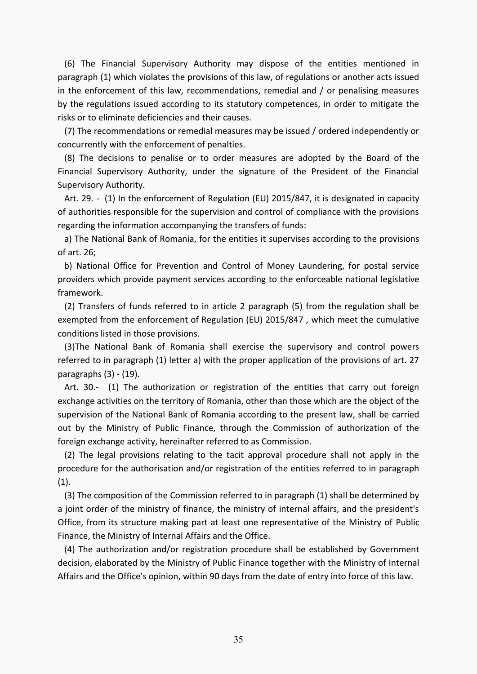(6) The Financial Supervisory Authority may dispose of the entities mentioned in paragraph (1) which violates the provisions of this law, of regulations or another acts issued in the enforcement of this law, recommendations, remedial and / or penalising measures by the regulations issued according to its statutory competences, in order to mitigate the risks or to eliminate deficiencies and their causes.

 (7) The recommendations or remedial measures may be issued / ordered independently or concurrently with the enforcement of penalties.

 (8) The decisions to penalise or to order measures are adopted by the Board of the Financial Supervisory Authority, under the signature of the President of the Financial Supervisory Authority.

 Art. 29. - (1) In the enforcement of Regulation (EU) 2015/847, it is designated in capacity of authorities responsible for the supervision and control of compliance with the provisions regarding the information accompanying the transfers of funds:

 a) The National Bank of Romania, for the entities it supervises according to the provisions of art. 26;

 b) National Office for Prevention and Control of Money Laundering, for postal service providers which provide payment services according to the enforceable national legislative framework.

 (2) Transfers of funds referred to in article 2 paragraph (5) from the regulation shall be exempted from the enforcement of Regulation (EU) 2015/847 , which meet the cumulative conditions listed in those provisions.

 (3)The National Bank of Romania shall exercise the supervisory and control powers referred to in paragraph (1) letter a) with the proper application of the provisions of art. 27 paragraphs (3) - (19).

 Art. 30.- (1) The authorization or registration of the entities that carry out foreign exchange activities on the territory of Romania, other than those which are the object of the supervision of the National Bank of Romania according to the present law, shall be carried out by the Ministry of Public Finance, through the Commission of authorization of the foreign exchange activity, hereinafter referred to as Commission.

 (2) The legal provisions relating to the tacit approval procedure shall not apply in the procedure for the authorisation and/or registration of the entities referred to in paragraph  $(1).$ 

 (3) The composition of the Commission referred to in paragraph (1) shall be determined by a joint order of the ministry of finance, the ministry of internal affairs, and the president's Office, from its structure making part at least one representative of the Ministry of Public Finance, the Ministry of Internal Affairs and the Office.

 (4) The authorization and/or registration procedure shall be established by Government decision, elaborated by the Ministry of Public Finance together with the Ministry of Internal Affairs and the Office's opinion, within 90 days from the date of entry into force of this law.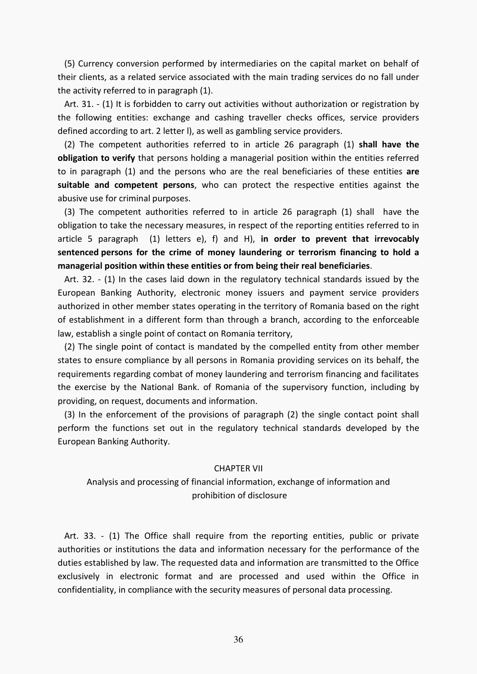(5) Currency conversion performed by intermediaries on the capital market on behalf of their clients, as a related service associated with the main trading services do no fall under the activity referred to in paragraph (1).

 Art. 31. - (1) It is forbidden to carry out activities without authorization or registration by the following entities: exchange and cashing traveller checks offices, service providers defined according to art. 2 letter l), as well as gambling service providers.

 (2) The competent authorities referred to in article 26 paragraph (1) **shall have the obligation to verify** that persons holding a managerial position within the entities referred to in paragraph (1) and the persons who are the real beneficiaries of these entities **are suitable and competent persons**, who can protect the respective entities against the abusive use for criminal purposes.

 (3) The competent authorities referred to in article 26 paragraph (1) shall have the obligation to take the necessary measures, in respect of the reporting entities referred to in article 5 paragraph (1) letters e), f) and H), **in order to prevent that irrevocably sentenced persons for the crime of money laundering or terrorism financing to hold a managerial position within these entities or from being their real beneficiaries**.

 Art. 32. - (1) In the cases laid down in the regulatory technical standards issued by the European Banking Authority, electronic money issuers and payment service providers authorized in other member states operating in the territory of Romania based on the right of establishment in a different form than through a branch, according to the enforceable law, establish a single point of contact on Romania territory,

 (2) The single point of contact is mandated by the compelled entity from other member states to ensure compliance by all persons in Romania providing services on its behalf, the requirements regarding combat of money laundering and terrorism financing and facilitates the exercise by the National Bank. of Romania of the supervisory function, including by providing, on request, documents and information.

 (3) In the enforcement of the provisions of paragraph (2) the single contact point shall perform the functions set out in the regulatory technical standards developed by the European Banking Authority.

## CHAPTER VII

## Analysis and processing of financial information, exchange of information and prohibition of disclosure

 Art. 33. - (1) The Office shall require from the reporting entities, public or private authorities or institutions the data and information necessary for the performance of the duties established by law. The requested data and information are transmitted to the Office exclusively in electronic format and are processed and used within the Office in confidentiality, in compliance with the security measures of personal data processing.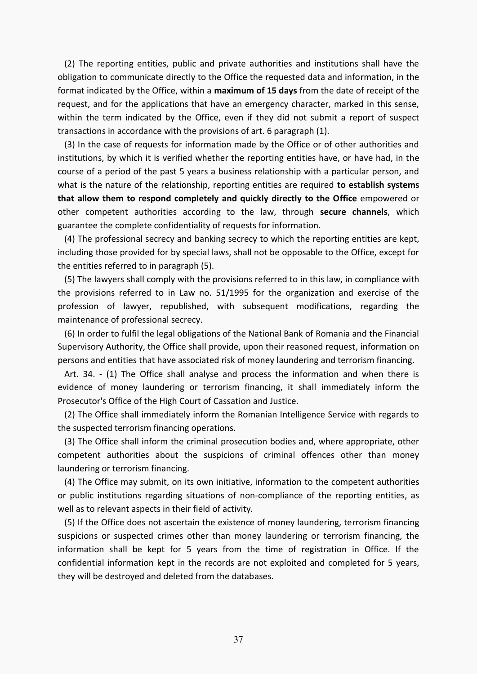(2) The reporting entities, public and private authorities and institutions shall have the obligation to communicate directly to the Office the requested data and information, in the format indicated by the Office, within a **maximum of 15 days** from the date of receipt of the request, and for the applications that have an emergency character, marked in this sense, within the term indicated by the Office, even if they did not submit a report of suspect transactions in accordance with the provisions of art. 6 paragraph (1).

 (3) In the case of requests for information made by the Office or of other authorities and institutions, by which it is verified whether the reporting entities have, or have had, in the course of a period of the past 5 years a business relationship with a particular person, and what is the nature of the relationship, reporting entities are required **to establish systems that allow them to respond completely and quickly directly to the Office** empowered or other competent authorities according to the law, through **secure channels**, which guarantee the complete confidentiality of requests for information.

 (4) The professional secrecy and banking secrecy to which the reporting entities are kept, including those provided for by special laws, shall not be opposable to the Office, except for the entities referred to in paragraph (5).

 (5) The lawyers shall comply with the provisions referred to in this law, in compliance with the provisions referred to in Law no. 51/1995 for the organization and exercise of the profession of lawyer, republished, with subsequent modifications, regarding the maintenance of professional secrecy.

 (6) In order to fulfil the legal obligations of the National Bank of Romania and the Financial Supervisory Authority, the Office shall provide, upon their reasoned request, information on persons and entities that have associated risk of money laundering and terrorism financing.

 Art. 34. - (1) The Office shall analyse and process the information and when there is evidence of money laundering or terrorism financing, it shall immediately inform the Prosecutor's Office of the High Court of Cassation and Justice.

 (2) The Office shall immediately inform the Romanian Intelligence Service with regards to the suspected terrorism financing operations.

 (3) The Office shall inform the criminal prosecution bodies and, where appropriate, other competent authorities about the suspicions of criminal offences other than money laundering or terrorism financing.

 (4) The Office may submit, on its own initiative, information to the competent authorities or public institutions regarding situations of non-compliance of the reporting entities, as well as to relevant aspects in their field of activity.

 (5) If the Office does not ascertain the existence of money laundering, terrorism financing suspicions or suspected crimes other than money laundering or terrorism financing, the information shall be kept for 5 years from the time of registration in Office. If the confidential information kept in the records are not exploited and completed for 5 years, they will be destroyed and deleted from the databases.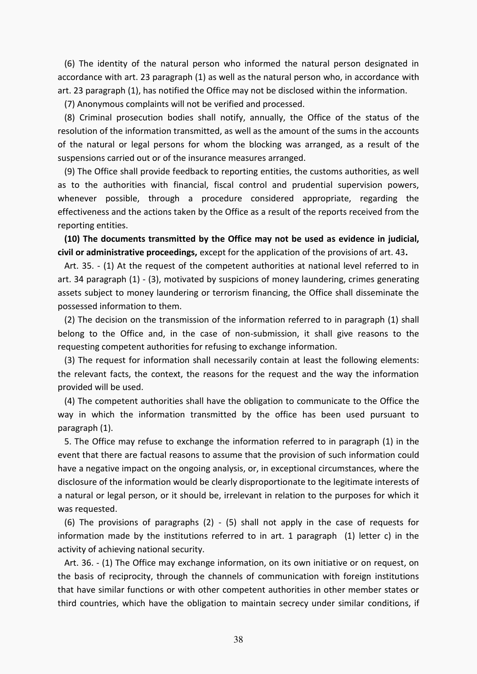(6) The identity of the natural person who informed the natural person designated in accordance with art. 23 paragraph (1) as well as the natural person who, in accordance with art. 23 paragraph (1), has notified the Office may not be disclosed within the information.

(7) Anonymous complaints will not be verified and processed.

 (8) Criminal prosecution bodies shall notify, annually, the Office of the status of the resolution of the information transmitted, as well as the amount of the sums in the accounts of the natural or legal persons for whom the blocking was arranged, as a result of the suspensions carried out or of the insurance measures arranged.

 (9) The Office shall provide feedback to reporting entities, the customs authorities, as well as to the authorities with financial, fiscal control and prudential supervision powers, whenever possible, through a procedure considered appropriate, regarding the effectiveness and the actions taken by the Office as a result of the reports received from the reporting entities.

 **(10) The documents transmitted by the Office may not be used as evidence in judicial, civil or administrative proceedings,** except for the application of the provisions of art. 43**.** 

 Art. 35. - (1) At the request of the competent authorities at national level referred to in art. 34 paragraph (1) - (3), motivated by suspicions of money laundering, crimes generating assets subject to money laundering or terrorism financing, the Office shall disseminate the possessed information to them.

 (2) The decision on the transmission of the information referred to in paragraph (1) shall belong to the Office and, in the case of non-submission, it shall give reasons to the requesting competent authorities for refusing to exchange information.

 (3) The request for information shall necessarily contain at least the following elements: the relevant facts, the context, the reasons for the request and the way the information provided will be used.

 (4) The competent authorities shall have the obligation to communicate to the Office the way in which the information transmitted by the office has been used pursuant to paragraph (1).

 5. The Office may refuse to exchange the information referred to in paragraph (1) in the event that there are factual reasons to assume that the provision of such information could have a negative impact on the ongoing analysis, or, in exceptional circumstances, where the disclosure of the information would be clearly disproportionate to the legitimate interests of a natural or legal person, or it should be, irrelevant in relation to the purposes for which it was requested.

 (6) The provisions of paragraphs (2) - (5) shall not apply in the case of requests for information made by the institutions referred to in art. 1 paragraph (1) letter c) in the activity of achieving national security.

 Art. 36. - (1) The Office may exchange information, on its own initiative or on request, on the basis of reciprocity, through the channels of communication with foreign institutions that have similar functions or with other competent authorities in other member states or third countries, which have the obligation to maintain secrecy under similar conditions, if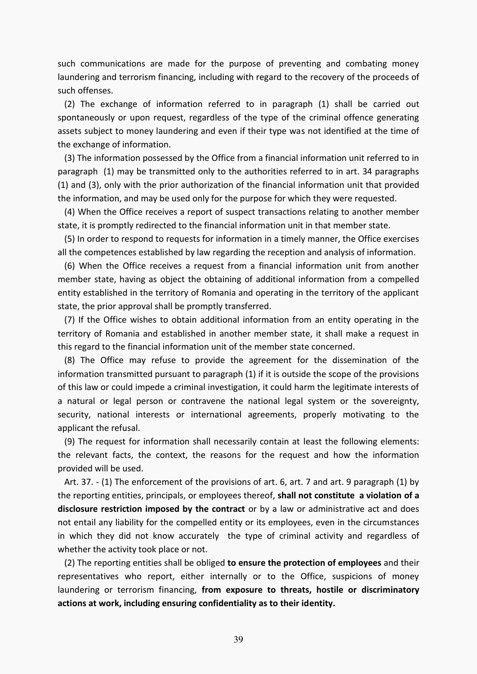such communications are made for the purpose of preventing and combating money laundering and terrorism financing, including with regard to the recovery of the proceeds of such offenses.

 (2) The exchange of information referred to in paragraph (1) shall be carried out spontaneously or upon request, regardless of the type of the criminal offence generating assets subject to money laundering and even if their type was not identified at the time of the exchange of information.

 (3) The information possessed by the Office from a financial information unit referred to in paragraph (1) may be transmitted only to the authorities referred to in art. 34 paragraphs (1) and (3), only with the prior authorization of the financial information unit that provided the information, and may be used only for the purpose for which they were requested.

 (4) When the Office receives a report of suspect transactions relating to another member state, it is promptly redirected to the financial information unit in that member state.

 (5) In order to respond to requests for information in a timely manner, the Office exercises all the competences established by law regarding the reception and analysis of information.

 (6) When the Office receives a request from a financial information unit from another member state, having as object the obtaining of additional information from a compelled entity established in the territory of Romania and operating in the territory of the applicant state, the prior approval shall be promptly transferred.

 (7) If the Office wishes to obtain additional information from an entity operating in the territory of Romania and established in another member state, it shall make a request in this regard to the financial information unit of the member state concerned.

 (8) The Office may refuse to provide the agreement for the dissemination of the information transmitted pursuant to paragraph (1) if it is outside the scope of the provisions of this law or could impede a criminal investigation, it could harm the legitimate interests of a natural or legal person or contravene the national legal system or the sovereignty, security, national interests or international agreements, properly motivating to the applicant the refusal.

 (9) The request for information shall necessarily contain at least the following elements: the relevant facts, the context, the reasons for the request and how the information provided will be used.

 Art. 37. - (1) The enforcement of the provisions of art. 6, art. 7 and art. 9 paragraph (1) by the reporting entities, principals, or employees thereof, **shall not constitute a violation of a disclosure restriction imposed by the contract** or by a law or administrative act and does not entail any liability for the compelled entity or its employees, even in the circumstances in which they did not know accurately the type of criminal activity and regardless of whether the activity took place or not.

 (2) The reporting entities shall be obliged **to ensure the protection of employees** and their representatives who report, either internally or to the Office, suspicions of money laundering or terrorism financing, **from exposure to threats, hostile or discriminatory actions at work, including ensuring confidentiality as to their identity.**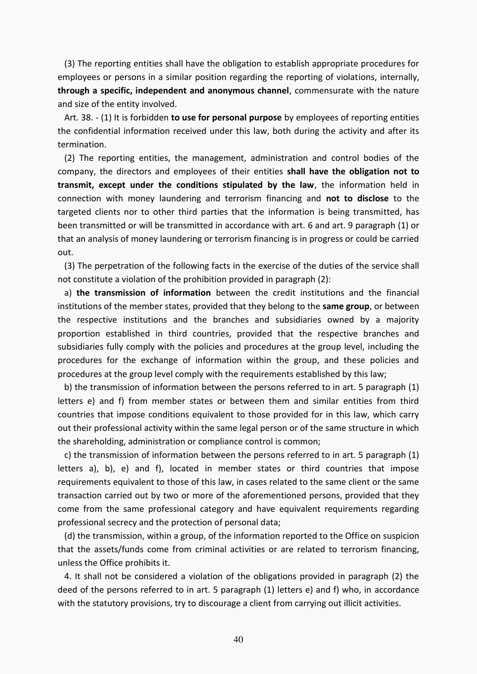(3) The reporting entities shall have the obligation to establish appropriate procedures for employees or persons in a similar position regarding the reporting of violations, internally, **through a specific, independent and anonymous channel**, commensurate with the nature and size of the entity involved.

 Art. 38. - (1) It is forbidden **to use for personal purpose** by employees of reporting entities the confidential information received under this law, both during the activity and after its termination.

 (2) The reporting entities, the management, administration and control bodies of the company, the directors and employees of their entities **shall have the obligation not to transmit, except under the conditions stipulated by the law**, the information held in connection with money laundering and terrorism financing and **not to disclose** to the targeted clients nor to other third parties that the information is being transmitted, has been transmitted or will be transmitted in accordance with art. 6 and art. 9 paragraph (1) or that an analysis of money laundering or terrorism financing is in progress or could be carried out.

 (3) The perpetration of the following facts in the exercise of the duties of the service shall not constitute a violation of the prohibition provided in paragraph (2):

 a) **the transmission of information** between the credit institutions and the financial institutions of the member states, provided that they belong to the **same group**, or between the respective institutions and the branches and subsidiaries owned by a majority proportion established in third countries, provided that the respective branches and subsidiaries fully comply with the policies and procedures at the group level, including the procedures for the exchange of information within the group, and these policies and procedures at the group level comply with the requirements established by this law;

 b) the transmission of information between the persons referred to in art. 5 paragraph (1) letters e) and f) from member states or between them and similar entities from third countries that impose conditions equivalent to those provided for in this law, which carry out their professional activity within the same legal person or of the same structure in which the shareholding, administration or compliance control is common;

 c) the transmission of information between the persons referred to in art. 5 paragraph (1) letters a), b), e) and f), located in member states or third countries that impose requirements equivalent to those of this law, in cases related to the same client or the same transaction carried out by two or more of the aforementioned persons, provided that they come from the same professional category and have equivalent requirements regarding professional secrecy and the protection of personal data;

 (d) the transmission, within a group, of the information reported to the Office on suspicion that the assets/funds come from criminal activities or are related to terrorism financing, unless the Office prohibits it.

 4. It shall not be considered a violation of the obligations provided in paragraph (2) the deed of the persons referred to in art. 5 paragraph (1) letters e) and f) who, in accordance with the statutory provisions, try to discourage a client from carrying out illicit activities.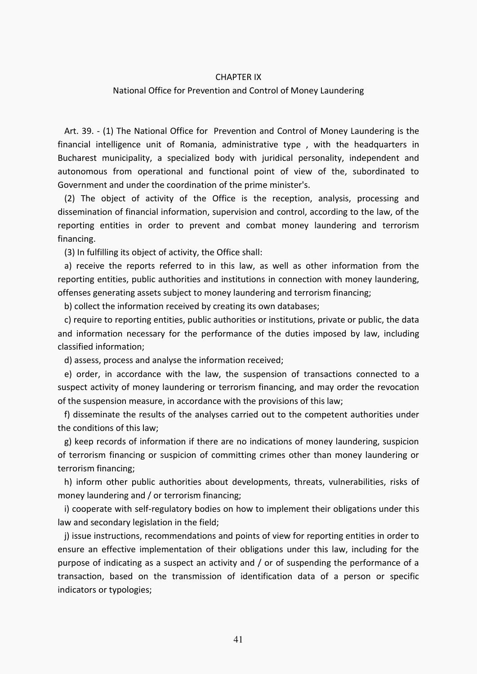### CHAPTER IX

### National Office for Prevention and Control of Money Laundering

 Art. 39. - (1) The National Office for Prevention and Control of Money Laundering is the financial intelligence unit of Romania, administrative type , with the headquarters in Bucharest municipality, a specialized body with juridical personality, independent and autonomous from operational and functional point of view of the, subordinated to Government and under the coordination of the prime minister's.

 (2) The object of activity of the Office is the reception, analysis, processing and dissemination of financial information, supervision and control, according to the law, of the reporting entities in order to prevent and combat money laundering and terrorism financing.

(3) In fulfilling its object of activity, the Office shall:

 a) receive the reports referred to in this law, as well as other information from the reporting entities, public authorities and institutions in connection with money laundering, offenses generating assets subject to money laundering and terrorism financing;

b) collect the information received by creating its own databases;

 c) require to reporting entities, public authorities or institutions, private or public, the data and information necessary for the performance of the duties imposed by law, including classified information;

d) assess, process and analyse the information received;

 e) order, in accordance with the law, the suspension of transactions connected to a suspect activity of money laundering or terrorism financing, and may order the revocation of the suspension measure, in accordance with the provisions of this law;

 f) disseminate the results of the analyses carried out to the competent authorities under the conditions of this law;

 g) keep records of information if there are no indications of money laundering, suspicion of terrorism financing or suspicion of committing crimes other than money laundering or terrorism financing;

 h) inform other public authorities about developments, threats, vulnerabilities, risks of money laundering and / or terrorism financing;

 i) cooperate with self-regulatory bodies on how to implement their obligations under this law and secondary legislation in the field;

 j) issue instructions, recommendations and points of view for reporting entities in order to ensure an effective implementation of their obligations under this law, including for the purpose of indicating as a suspect an activity and / or of suspending the performance of a transaction, based on the transmission of identification data of a person or specific indicators or typologies;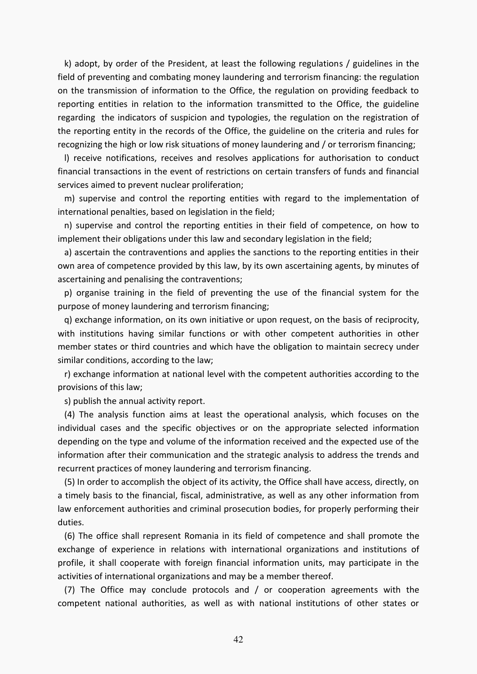k) adopt, by order of the President, at least the following regulations / guidelines in the field of preventing and combating money laundering and terrorism financing: the regulation on the transmission of information to the Office, the regulation on providing feedback to reporting entities in relation to the information transmitted to the Office, the guideline regarding the indicators of suspicion and typologies, the regulation on the registration of the reporting entity in the records of the Office, the guideline on the criteria and rules for recognizing the high or low risk situations of money laundering and / or terrorism financing;

 l) receive notifications, receives and resolves applications for authorisation to conduct financial transactions in the event of restrictions on certain transfers of funds and financial services aimed to prevent nuclear proliferation;

 m) supervise and control the reporting entities with regard to the implementation of international penalties, based on legislation in the field;

 n) supervise and control the reporting entities in their field of competence, on how to implement their obligations under this law and secondary legislation in the field;

 a) ascertain the contraventions and applies the sanctions to the reporting entities in their own area of competence provided by this law, by its own ascertaining agents, by minutes of ascertaining and penalising the contraventions;

 p) organise training in the field of preventing the use of the financial system for the purpose of money laundering and terrorism financing;

 q) exchange information, on its own initiative or upon request, on the basis of reciprocity, with institutions having similar functions or with other competent authorities in other member states or third countries and which have the obligation to maintain secrecy under similar conditions, according to the law;

 r) exchange information at national level with the competent authorities according to the provisions of this law;

s) publish the annual activity report.

 (4) The analysis function aims at least the operational analysis, which focuses on the individual cases and the specific objectives or on the appropriate selected information depending on the type and volume of the information received and the expected use of the information after their communication and the strategic analysis to address the trends and recurrent practices of money laundering and terrorism financing.

 (5) In order to accomplish the object of its activity, the Office shall have access, directly, on a timely basis to the financial, fiscal, administrative, as well as any other information from law enforcement authorities and criminal prosecution bodies, for properly performing their duties.

 (6) The office shall represent Romania in its field of competence and shall promote the exchange of experience in relations with international organizations and institutions of profile, it shall cooperate with foreign financial information units, may participate in the activities of international organizations and may be a member thereof.

 (7) The Office may conclude protocols and / or cooperation agreements with the competent national authorities, as well as with national institutions of other states or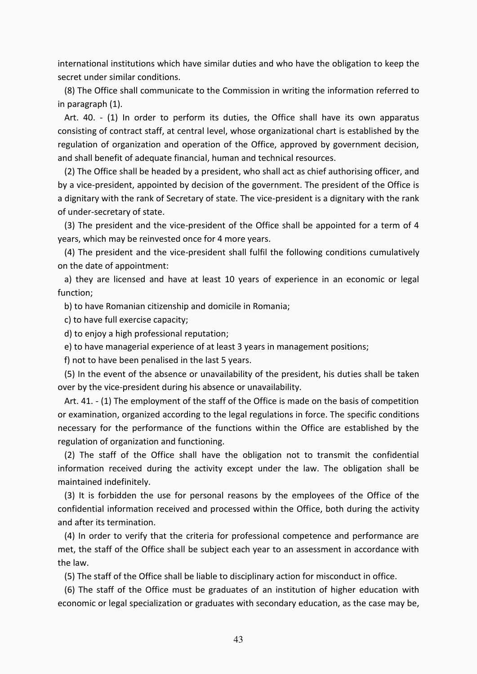international institutions which have similar duties and who have the obligation to keep the secret under similar conditions.

 (8) The Office shall communicate to the Commission in writing the information referred to in paragraph (1).

 Art. 40. - (1) In order to perform its duties, the Office shall have its own apparatus consisting of contract staff, at central level, whose organizational chart is established by the regulation of organization and operation of the Office, approved by government decision, and shall benefit of adequate financial, human and technical resources.

 (2) The Office shall be headed by a president, who shall act as chief authorising officer, and by a vice-president, appointed by decision of the government. The president of the Office is a dignitary with the rank of Secretary of state. The vice-president is a dignitary with the rank of under-secretary of state.

 (3) The president and the vice-president of the Office shall be appointed for a term of 4 years, which may be reinvested once for 4 more years.

 (4) The president and the vice-president shall fulfil the following conditions cumulatively on the date of appointment:

 a) they are licensed and have at least 10 years of experience in an economic or legal function;

b) to have Romanian citizenship and domicile in Romania;

c) to have full exercise capacity;

d) to enjoy a high professional reputation;

e) to have managerial experience of at least 3 years in management positions;

f) not to have been penalised in the last 5 years.

 (5) In the event of the absence or unavailability of the president, his duties shall be taken over by the vice-president during his absence or unavailability.

 Art. 41. - (1) The employment of the staff of the Office is made on the basis of competition or examination, organized according to the legal regulations in force. The specific conditions necessary for the performance of the functions within the Office are established by the regulation of organization and functioning.

 (2) The staff of the Office shall have the obligation not to transmit the confidential information received during the activity except under the law. The obligation shall be maintained indefinitely.

 (3) It is forbidden the use for personal reasons by the employees of the Office of the confidential information received and processed within the Office, both during the activity and after its termination.

 (4) In order to verify that the criteria for professional competence and performance are met, the staff of the Office shall be subject each year to an assessment in accordance with the law.

(5) The staff of the Office shall be liable to disciplinary action for misconduct in office.

 (6) The staff of the Office must be graduates of an institution of higher education with economic or legal specialization or graduates with secondary education, as the case may be,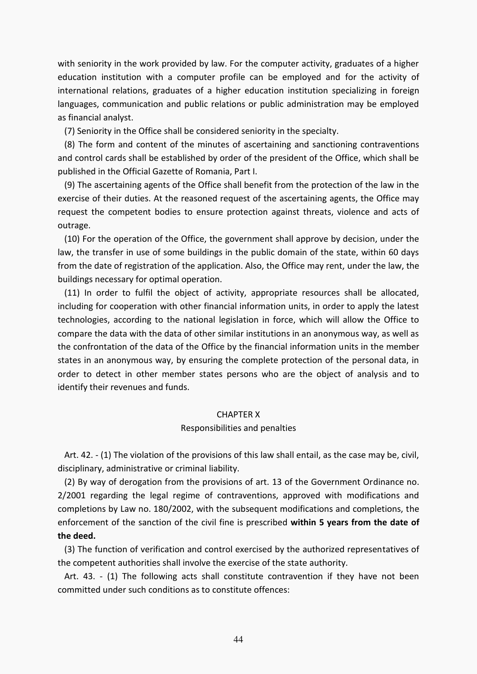with seniority in the work provided by law. For the computer activity, graduates of a higher education institution with a computer profile can be employed and for the activity of international relations, graduates of a higher education institution specializing in foreign languages, communication and public relations or public administration may be employed as financial analyst.

(7) Seniority in the Office shall be considered seniority in the specialty.

 (8) The form and content of the minutes of ascertaining and sanctioning contraventions and control cards shall be established by order of the president of the Office, which shall be published in the Official Gazette of Romania, Part I.

 (9) The ascertaining agents of the Office shall benefit from the protection of the law in the exercise of their duties. At the reasoned request of the ascertaining agents, the Office may request the competent bodies to ensure protection against threats, violence and acts of outrage.

 (10) For the operation of the Office, the government shall approve by decision, under the law, the transfer in use of some buildings in the public domain of the state, within 60 days from the date of registration of the application. Also, the Office may rent, under the law, the buildings necessary for optimal operation.

 (11) In order to fulfil the object of activity, appropriate resources shall be allocated, including for cooperation with other financial information units, in order to apply the latest technologies, according to the national legislation in force, which will allow the Office to compare the data with the data of other similar institutions in an anonymous way, as well as the confrontation of the data of the Office by the financial information units in the member states in an anonymous way, by ensuring the complete protection of the personal data, in order to detect in other member states persons who are the object of analysis and to identify their revenues and funds.

## CHAPTER X

#### Responsibilities and penalties

 Art. 42. - (1) The violation of the provisions of this law shall entail, as the case may be, civil, disciplinary, administrative or criminal liability.

 (2) By way of derogation from the provisions of art. 13 of the Government Ordinance no. 2/2001 regarding the legal regime of contraventions, approved with modifications and completions by Law no. 180/2002, with the subsequent modifications and completions, the enforcement of the sanction of the civil fine is prescribed **within 5 years from the date of the deed.** 

 (3) The function of verification and control exercised by the authorized representatives of the competent authorities shall involve the exercise of the state authority.

 Art. 43. - (1) The following acts shall constitute contravention if they have not been committed under such conditions as to constitute offences: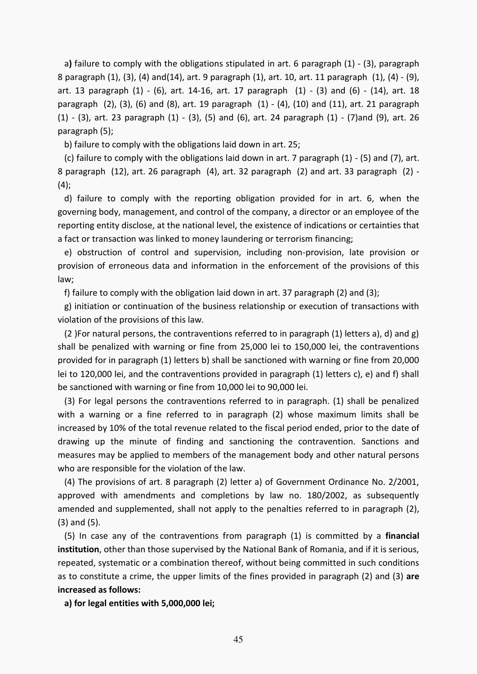a**)** failure to comply with the obligations stipulated in art. 6 [paragraph \(1\)](act:3396588%20290439786) - [\(3\),](act:3396588%20290439792) paragraph 8 [paragraph \(1\),](act:3396588%20290439805) [\(3\),](act:3396588%20290439807) [\(4\)](act:3396588%20290439808) an[d\(14\),](act:3396588%20290439818) art. 9 [paragraph \(1\),](act:3396588%20290439821) [art. 10,](act:3396588%20290439828) art. 11 [paragraph \(1\),](act:3396588%20290439837) [\(4\)](act:3396588%20290439844) - [\(9\),](act:3396588%20290439853) art. 13 [paragraph \(1\)](act:3396588%20290439858) - [\(6\),](act:3396588%20290439870) [art. 14](act:3396588%20290439879)[-16,](act:3396588%20290439888) art. 17 [paragraph \(1\)](act:3396588%20290439911) - [\(3\)](act:3396588%20290439918) and [\(6\)](act:3396588%20290439921) - [\(14\),](act:3396588%20290439940) art. 18 paragraph  $(2)$ ,  $(3)$ ,  $(6)$  and  $(8)$ , art. 19 [paragraph](act:3396588%20290440001)  $(1)$  -  $(4)$ ,  $(10)$  and  $(11)$ , art. 21 paragraph [\(1\)](act:3396588%20290440001) - [\(3\),](act:3396588%20290440003) art. 23 [paragraph \(1\)](act:3396588%20290440018) - [\(3\),](act:3396588%20290440020) [\(5\)](act:3396588%20290440022) and [\(6\),](act:3396588%20290440023) art. 24 [paragraph \(1\)](act:3396588%20290440030) - [\(7\)a](act:3396588%20290440041)nd [\(9\),](act:3396588%20290440043) art. 26 [paragraph \(5\);](act:3396588%20290440064)

b) failure to comply with the obligations laid down in art. 25;

(c) failure to comply with the obligations laid down in art. 7 paragraph  $(1)$  -  $(5)$  and  $(7)$ , art. 8 paragraph (12), art. 26 paragraph (4), art. 32 paragraph (2) and art. 33 paragraph (2) -  $(4)$ ;

 d) failure to comply with the reporting obligation provided for in art. 6, when the governing body, management, and control of the company, a director or an employee of the reporting entity disclose, at the national level, the existence of indications or certainties that a fact or transaction was linked to money laundering or terrorism financing;

 e) obstruction of control and supervision, including non-provision, late provision or provision of erroneous data and information in the enforcement of the provisions of this law;

f) failure to comply with the obligation laid down in art. 37 paragraph (2) and (3);

 g) initiation or continuation of the business relationship or execution of transactions with violation of the provisions of this law.

(2) For natural persons, the contraventions referred to in paragraph (1) letters a), d) and g) shall be penalized with warning or fine from 25,000 lei to 150,000 lei, the contraventions provided for in paragraph (1) letters b) shall be sanctioned with warning or fine from 20,000 lei to 120,000 lei, and the contraventions provided in paragraph (1) letters c), e) and f) shall be sanctioned with warning or fine from 10,000 lei to 90,000 lei.

 (3) For legal persons the contraventions referred to in paragraph. (1) shall be penalized with a warning or a fine referred to in paragraph (2) whose maximum limits shall be increased by 10% of the total revenue related to the fiscal period ended, prior to the date of drawing up the minute of finding and sanctioning the contravention. Sanctions and measures may be applied to members of the management body and other natural persons who are responsible for the violation of the law.

 (4) The provisions of art. 8 paragraph (2) letter a) of Government Ordinance No. 2/2001, approved with amendments and completions by law no. 180/2002, as subsequently amended and supplemented, shall not apply to the penalties referred to in paragraph (2), (3) and (5).

 (5) In case any of the contraventions from paragraph (1) is committed by a **financial institution**, other than those supervised by the National Bank of Romania, and if it is serious, repeated, systematic or a combination thereof, without being committed in such conditions as to constitute a crime, the upper limits of the fines provided in paragraph (2) and (3) **are increased as follows:** 

 **a) for legal entities with 5,000,000 lei;**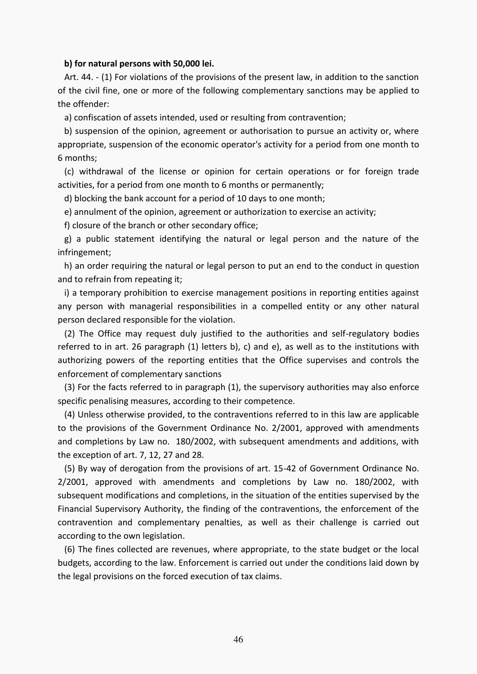#### **b) for natural persons with 50,000 lei.**

 Art. 44. - (1) For violations of the provisions of the present law, in addition to the sanction of the civil fine, one or more of the following complementary sanctions may be applied to the offender:

a) confiscation of assets intended, used or resulting from contravention;

 b) suspension of the opinion, agreement or authorisation to pursue an activity or, where appropriate, suspension of the economic operator's activity for a period from one month to 6 months;

 (c) withdrawal of the license or opinion for certain operations or for foreign trade activities, for a period from one month to 6 months or permanently;

d) blocking the bank account for a period of 10 days to one month;

e) annulment of the opinion, agreement or authorization to exercise an activity;

f) closure of the branch or other secondary office;

 g) a public statement identifying the natural or legal person and the nature of the infringement;

 h) an order requiring the natural or legal person to put an end to the conduct in question and to refrain from repeating it;

 i) a temporary prohibition to exercise management positions in reporting entities against any person with managerial responsibilities in a compelled entity or any other natural person declared responsible for the violation.

 (2) The Office may request duly justified to the authorities and self-regulatory bodies referred to in art. 26 paragraph (1) letters b), c) and e), as well as to the institutions with authorizing powers of the reporting entities that the Office supervises and controls the enforcement of complementary sanctions

 (3) For the facts referred to in paragraph (1), the supervisory authorities may also enforce specific penalising measures, according to their competence.

 (4) Unless otherwise provided, to the contraventions referred to in this law are applicable to the provisions of the Government Ordinance No. 2/2001, approved with amendments and completions by Law no. 180/2002, with subsequent amendments and additions, with the exception of art. 7, 12, 27 and 28.

 (5) By way of derogation from the provisions of art. 15-42 of Government Ordinance No. 2/2001, approved with amendments and completions by Law no. 180/2002, with subsequent modifications and completions, in the situation of the entities supervised by the Financial Supervisory Authority, the finding of the contraventions, the enforcement of the contravention and complementary penalties, as well as their challenge is carried out according to the own legislation.

 (6) The fines collected are revenues, where appropriate, to the state budget or the local budgets, according to the law. Enforcement is carried out under the conditions laid down by the legal provisions on the forced execution of tax claims.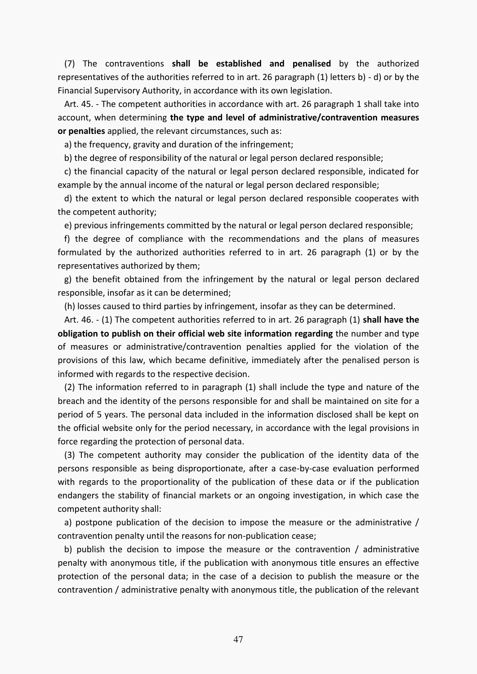(7) The contraventions **shall be established and penalised** by the authorized representatives of the authorities referred to in art. 26 paragraph (1) letters b) - d) or by the Financial Supervisory Authority, in accordance with its own legislation.

 Art. 45. - The competent authorities in accordance with art. 26 paragraph 1 shall take into account, when determining **the type and level of administrative/contravention measures or penalties** applied, the relevant circumstances, such as:

a) the frequency, gravity and duration of the infringement;

b) the degree of responsibility of the natural or legal person declared responsible;

 c) the financial capacity of the natural or legal person declared responsible, indicated for example by the annual income of the natural or legal person declared responsible;

 d) the extent to which the natural or legal person declared responsible cooperates with the competent authority;

e) previous infringements committed by the natural or legal person declared responsible;

 f) the degree of compliance with the recommendations and the plans of measures formulated by the authorized authorities referred to in art. 26 paragraph (1) or by the representatives authorized by them;

 g) the benefit obtained from the infringement by the natural or legal person declared responsible, insofar as it can be determined;

(h) losses caused to third parties by infringement, insofar as they can be determined.

 Art. 46. - (1) The competent authorities referred to in art. 26 paragraph (1) **shall have the obligation to publish on their official web site information regarding** the number and type of measures or administrative/contravention penalties applied for the violation of the provisions of this law, which became definitive, immediately after the penalised person is informed with regards to the respective decision.

 (2) The information referred to in paragraph (1) shall include the type and nature of the breach and the identity of the persons responsible for and shall be maintained on site for a period of 5 years. The personal data included in the information disclosed shall be kept on the official website only for the period necessary, in accordance with the legal provisions in force regarding the protection of personal data.

 (3) The competent authority may consider the publication of the identity data of the persons responsible as being disproportionate, after a case-by-case evaluation performed with regards to the proportionality of the publication of these data or if the publication endangers the stability of financial markets or an ongoing investigation, in which case the competent authority shall:

a) postpone publication of the decision to impose the measure or the administrative / contravention penalty until the reasons for non-publication cease;

 b) publish the decision to impose the measure or the contravention / administrative penalty with anonymous title, if the publication with anonymous title ensures an effective protection of the personal data; in the case of a decision to publish the measure or the contravention / administrative penalty with anonymous title, the publication of the relevant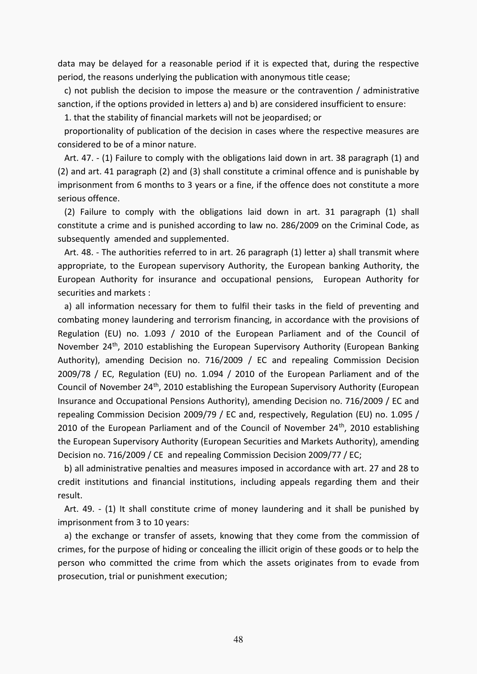data may be delayed for a reasonable period if it is expected that, during the respective period, the reasons underlying the publication with anonymous title cease;

 c) not publish the decision to impose the measure or the contravention / administrative sanction, if the options provided in letters a) and b) are considered insufficient to ensure:

1. that the stability of financial markets will not be jeopardised; or

 proportionality of publication of the decision in cases where the respective measures are considered to be of a minor nature.

 Art. 47. - (1) Failure to comply with the obligations laid down in art. 38 paragraph (1) and (2) and art. 41 paragraph (2) and (3) shall constitute a criminal offence and is punishable by imprisonment from 6 months to 3 years or a fine, if the offence does not constitute a more serious offence.

 (2) Failure to comply with the obligations laid down in art. 31 paragraph (1) shall constitute a crime and is punished according to law no. 286/2009 on the Criminal Code, as subsequently amended and supplemented.

 Art. 48. - The authorities referred to in art. 26 paragraph (1) letter a) shall transmit where appropriate, to the European supervisory Authority, the European banking Authority, the European Authority for insurance and occupational pensions, European Authority for securities and markets :

 a) all information necessary for them to fulfil their tasks in the field of preventing and combating money laundering and terrorism financing, in accordance with the provisions of Regulation (EU) no. 1.093 / 2010 of the European Parliament and of the Council of November 24<sup>th</sup>, 2010 establishing the European Supervisory Authority (European Banking Authority), amending Decision no. 716/2009 / EC and repealing Commission Decision 2009/78 / EC, Regulation (EU) no. 1.094 / 2010 of the European Parliament and of the Council of November 24<sup>th</sup>, 2010 establishing the European Supervisory Authority (European Insurance and Occupational Pensions Authority), amending Decision no. 716/2009 / EC and repealing Commission Decision 2009/79 / EC and, respectively, Regulation (EU) no. 1.095 / 2010 of the European Parliament and of the Council of November  $24<sup>th</sup>$ , 2010 establishing the European Supervisory Authority (European Securities and Markets Authority), amending Decision no. 716/2009 / CE and repealing Commission Decision 2009/77 / EC;

 b) all administrative penalties and measures imposed in accordance with art. 27 and 28 to credit institutions and financial institutions, including appeals regarding them and their result.

 Art. 49. - (1) It shall constitute crime of money laundering and it shall be punished by imprisonment from 3 to 10 years:

 a) the exchange or transfer of assets, knowing that they come from the commission of crimes, for the purpose of hiding or concealing the illicit origin of these goods or to help the person who committed the crime from which the assets originates from to evade from prosecution, trial or punishment execution;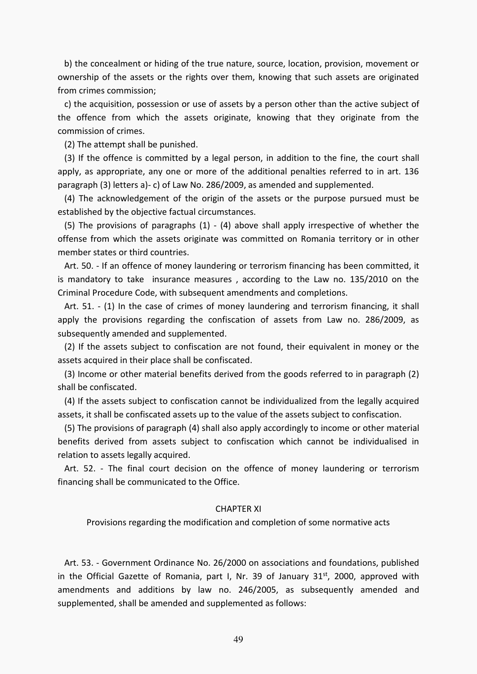b) the concealment or hiding of the true nature, source, location, provision, movement or ownership of the assets or the rights over them, knowing that such assets are originated from crimes commission;

 c) the acquisition, possession or use of assets by a person other than the active subject of the offence from which the assets originate, knowing that they originate from the commission of crimes.

(2) The attempt shall be punished.

 (3) If the offence is committed by a legal person, in addition to the fine, the court shall apply, as appropriate, any one or more of the additional penalties referred to in art. 136 paragraph (3) letters a)- c) of Law No. 286/2009, as amended and supplemented.

 (4) The acknowledgement of the origin of the assets or the purpose pursued must be established by the objective factual circumstances.

 (5) The provisions of paragraphs (1) - (4) above shall apply irrespective of whether the offense from which the assets originate was committed on Romania territory or in other member states or third countries.

 Art. 50. - If an offence of money laundering or terrorism financing has been committed, it is mandatory to take insurance measures , according to the Law no. 135/2010 on the Criminal Procedure Code, with subsequent amendments and completions.

 Art. 51. - (1) In the case of crimes of money laundering and terrorism financing, it shall apply the provisions regarding the confiscation of assets from Law no. 286/2009, as subsequently amended and supplemented.

 (2) If the assets subject to confiscation are not found, their equivalent in money or the assets acquired in their place shall be confiscated.

 (3) Income or other material benefits derived from the goods referred to in paragraph (2) shall be confiscated.

 (4) If the assets subject to confiscation cannot be individualized from the legally acquired assets, it shall be confiscated assets up to the value of the assets subject to confiscation.

 (5) The provisions of paragraph (4) shall also apply accordingly to income or other material benefits derived from assets subject to confiscation which cannot be individualised in relation to assets legally acquired.

 Art. 52. - The final court decision on the offence of money laundering or terrorism financing shall be communicated to the Office.

#### CHAPTER XI

Provisions regarding the modification and completion of some normative acts

 Art. 53. - Government Ordinance No. 26/2000 on associations and foundations, published in the Official Gazette of Romania, part I, Nr. 39 of January  $31<sup>st</sup>$ , 2000, approved with amendments and additions by law no. 246/2005, as subsequently amended and supplemented, shall be amended and supplemented as follows:

49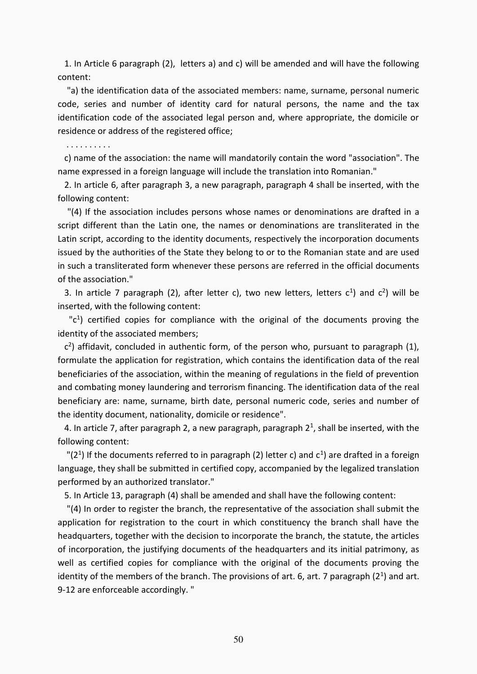1. In Article 6 paragraph (2), letters a) and c) will be amended and will have the following content:

 "a) the identification data of the associated members: name, surname, personal numeric code, series and number of identity card for natural persons, the name and the tax identification code of the associated legal person and, where appropriate, the domicile or residence or address of the registered office;

. . . . . . . . . .

 c) name of the association: the name will mandatorily contain the word "association". The name expressed in a foreign language will include the translation into Romanian."

 2. In article 6, after paragraph 3, a new paragraph, paragraph 4 shall be inserted, with the following content:

 "(4) If the association includes persons whose names or denominations are drafted in a script different than the Latin one, the names or denominations are transliterated in the Latin script, according to the identity documents, respectively the incorporation documents issued by the authorities of the State they belong to or to the Romanian state and are used in such a transliterated form whenever these persons are referred in the official documents of the association."

3. In article 7 paragraph (2), after letter c), two new letters, letters  $c^1$ ) and  $c^2$ ) will be inserted, with the following content:

 $-c<sup>1</sup>$ ) certified copies for compliance with the original of the documents proving the identity of the associated members;

 $c<sup>2</sup>$ ) affidavit, concluded in authentic form, of the person who, pursuant to paragraph (1), formulate the application for registration, which contains the identification data of the real beneficiaries of the association, within the meaning of regulations in the field of prevention and combating money laundering and terrorism financing. The identification data of the real beneficiary are: name, surname, birth date, personal numeric code, series and number of the identity document, nationality, domicile or residence".

4. In article 7, after paragraph 2, a new paragraph, paragraph  $2<sup>1</sup>$ , shall be inserted, with the following content:

"(2<sup>1</sup>) If the documents referred to in paragraph (2) letter c) and  $c<sup>1</sup>$  are drafted in a foreign language, they shall be submitted in certified copy, accompanied by the legalized translation performed by an authorized translator."

5. In Article 13, paragraph (4) shall be amended and shall have the following content:

 "(4) In order to register the branch, the representative of the association shall submit the application for registration to the court in which constituency the branch shall have the headquarters, together with the decision to incorporate the branch, the statute, the articles of incorporation, the justifying documents of the headquarters and its initial patrimony, as well as certified copies for compliance with the original of the documents proving the identity of the members of the branch. The provisions of art. 6, art. 7 paragraph  $(2^1)$  and art. 9-12 are enforceable accordingly. "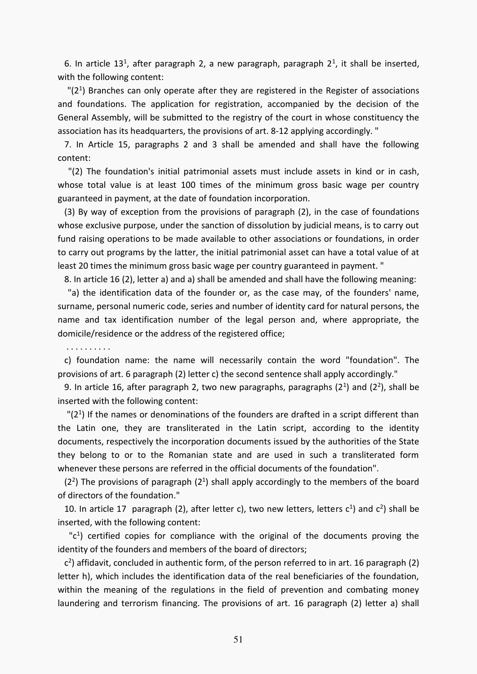6. In article 13<sup>1</sup>, after paragraph 2, a new paragraph, paragraph  $2<sup>1</sup>$ , it shall be inserted, with the following content:

 $"$ (2<sup>1</sup>) Branches can only operate after they are registered in the Register of associations and foundations. The application for registration, accompanied by the decision of the General Assembly, will be submitted to the registry of the court in whose constituency the association has its headquarters, the provisions of art. 8-12 applying accordingly. "

 7. In Article 15, paragraphs 2 and 3 shall be amended and shall have the following content:

 "(2) The foundation's initial patrimonial assets must include assets in kind or in cash, whose total value is at least 100 times of the minimum gross basic wage per country guaranteed in payment, at the date of foundation incorporation.

 (3) By way of exception from the provisions of paragraph (2), in the case of foundations whose exclusive purpose, under the sanction of dissolution by judicial means, is to carry out fund raising operations to be made available to other associations or foundations, in order to carry out programs by the latter, the initial patrimonial asset can have a total value of at least 20 times the minimum gross basic wage per country guaranteed in payment. "

8. In article 16 (2), letter a) and a) shall be amended and shall have the following meaning:

 "a) the identification data of the founder or, as the case may, of the founders' name, surname, personal numeric code, series and number of identity card for natural persons, the name and tax identification number of the legal person and, where appropriate, the domicile/residence or the address of the registered office;

. . . . . . . . . .

 c) foundation name: the name will necessarily contain the word "foundation". The provisions of art. 6 paragraph (2) letter c) the second sentence shall apply accordingly."

9. In article 16, after paragraph 2, two new paragraphs, paragraphs  $(2^1)$  and  $(2^2)$ , shall be inserted with the following content:

 $"$ (2<sup>1</sup>) If the names or denominations of the founders are drafted in a script different than the Latin one, they are transliterated in the Latin script, according to the identity documents, respectively the incorporation documents issued by the authorities of the State they belong to or to the Romanian state and are used in such a transliterated form whenever these persons are referred in the official documents of the foundation".

 $(2<sup>2</sup>)$  The provisions of paragraph  $(2<sup>1</sup>)$  shall apply accordingly to the members of the board of directors of the foundation."

10. In article 17 paragraph (2), after letter c), two new letters, letters  $c^1$ ) and  $c^2$ ) shall be inserted, with the following content:

 $-c<sup>1</sup>$ ) certified copies for compliance with the original of the documents proving the identity of the founders and members of the board of directors;

 c 2 ) affidavit, concluded in authentic form, of the person referred to in art. 16 paragraph (2) letter h), which includes the identification data of the real beneficiaries of the foundation, within the meaning of the regulations in the field of prevention and combating money laundering and terrorism financing. The provisions of art. 16 paragraph (2) letter a) shall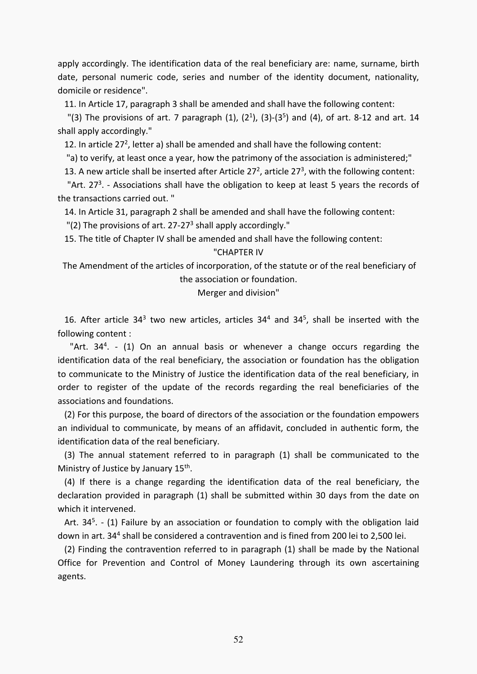apply accordingly. The identification data of the real beneficiary are: name, surname, birth date, personal numeric code, series and number of the identity document, nationality, domicile or residence".

11. In Article 17, paragraph 3 shall be amended and shall have the following content:

"(3) The provisions of art. 7 paragraph  $(1)$ ,  $(2^1)$ ,  $(3)-(3^5)$  and  $(4)$ , of art. 8-12 and art. 14 shall apply accordingly."

12. In article 27<sup>2</sup>, letter a) shall be amended and shall have the following content:

"a) to verify, at least once a year, how the patrimony of the association is administered;"

13. A new article shall be inserted after Article  $27<sup>2</sup>$ , article  $27<sup>3</sup>$ , with the following content:

"Art.  $27<sup>3</sup>$ . - Associations shall have the obligation to keep at least 5 years the records of the transactions carried out. "

14. In Article 31, paragraph 2 shall be amended and shall have the following content:

"(2) The provisions of art. 27-27<sup>3</sup> shall apply accordingly."

15. The title of Chapter IV shall be amended and shall have the following content:

## "CHAPTER IV

 The Amendment of the articles of incorporation, of the statute or of the real beneficiary of the association or foundation.

Merger and division"

16. After article  $34<sup>3</sup>$  two new articles, articles  $34<sup>4</sup>$  and  $34<sup>5</sup>$ , shall be inserted with the following content :

"Art. 34<sup>4</sup>. - (1) On an annual basis or whenever a change occurs regarding the identification data of the real beneficiary, the association or foundation has the obligation to communicate to the Ministry of Justice the identification data of the real beneficiary, in order to register of the update of the records regarding the real beneficiaries of the associations and foundations.

 (2) For this purpose, the board of directors of the association or the foundation empowers an individual to communicate, by means of an affidavit, concluded in authentic form, the identification data of the real beneficiary.

 (3) The annual statement referred to in paragraph (1) shall be communicated to the Ministry of Justice by January 15<sup>th</sup>.

 (4) If there is a change regarding the identification data of the real beneficiary, the declaration provided in paragraph (1) shall be submitted within 30 days from the date on which it intervened.

Art. 34<sup>5</sup>. - (1) Failure by an association or foundation to comply with the obligation laid down in art. 34<sup>4</sup> shall be considered a contravention and is fined from 200 lei to 2,500 lei.

 (2) Finding the contravention referred to in paragraph (1) shall be made by the National Office for Prevention and Control of Money Laundering through its own ascertaining agents.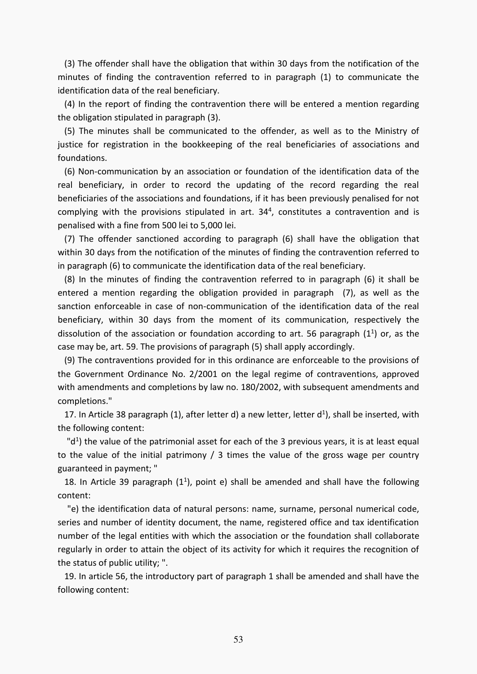(3) The offender shall have the obligation that within 30 days from the notification of the minutes of finding the contravention referred to in paragraph (1) to communicate the identification data of the real beneficiary.

 (4) In the report of finding the contravention there will be entered a mention regarding the obligation stipulated in paragraph (3).

 (5) The minutes shall be communicated to the offender, as well as to the Ministry of justice for registration in the bookkeeping of the real beneficiaries of associations and foundations.

 (6) Non-communication by an association or foundation of the identification data of the real beneficiary, in order to record the updating of the record regarding the real beneficiaries of the associations and foundations, if it has been previously penalised for not complying with the provisions stipulated in art.  $34<sup>4</sup>$ , constitutes a contravention and is penalised with a fine from 500 lei to 5,000 lei.

 (7) The offender sanctioned according to paragraph (6) shall have the obligation that within 30 days from the notification of the minutes of finding the contravention referred to in paragraph (6) to communicate the identification data of the real beneficiary.

 (8) In the minutes of finding the contravention referred to in paragraph (6) it shall be entered a mention regarding the obligation provided in paragraph (7), as well as the sanction enforceable in case of non-communication of the identification data of the real beneficiary, within 30 days from the moment of its communication, respectively the dissolution of the association or foundation according to art. 56 paragraph  $(1^1)$  or, as the case may be, art. 59. The provisions of paragraph (5) shall apply accordingly.

 (9) The contraventions provided for in this ordinance are enforceable to the provisions of the Government Ordinance No. 2/2001 on the legal regime of contraventions, approved with amendments and completions by law no. 180/2002, with subsequent amendments and completions."

17. In Article 38 paragraph (1), after letter d) a new letter, letter  $d<sup>1</sup>$ ), shall be inserted, with the following content:

 $"d<sup>1</sup>$ ) the value of the patrimonial asset for each of the 3 previous years, it is at least equal to the value of the initial patrimony / 3 times the value of the gross wage per country guaranteed in payment; "

18. In Article 39 paragraph  $(1^1)$ , point e) shall be amended and shall have the following content:

 "e) the identification data of natural persons: name, surname, personal numerical code, series and number of identity document, the name, registered office and tax identification number of the legal entities with which the association or the foundation shall collaborate regularly in order to attain the object of its activity for which it requires the recognition of the status of public utility; ".

 19. In article 56, the introductory part of paragraph 1 shall be amended and shall have the following content: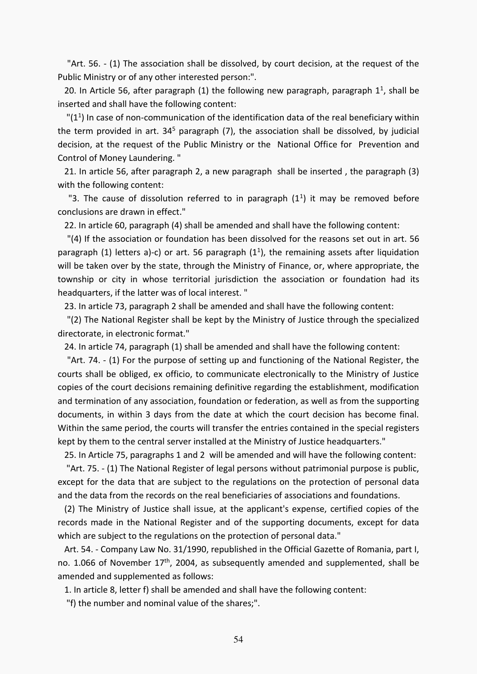"Art. 56. - (1) The association shall be dissolved, by court decision, at the request of the Public Ministry or of any other interested person:".

20. In Article 56, after paragraph  $(1)$  the following new paragraph, paragraph  $1<sup>1</sup>$ , shall be inserted and shall have the following content:

 $"$ (1<sup>1</sup>) In case of non-communication of the identification data of the real beneficiary within the term provided in art. 34<sup>5</sup> paragraph (7), the association shall be dissolved, by judicial decision, at the request of the Public Ministry or the National Office for Prevention and Control of Money Laundering. "

 21. In article 56, after paragraph 2, a new paragraph shall be inserted , the paragraph (3) with the following content:

"3. The cause of dissolution referred to in paragraph  $(1^1)$  it may be removed before conclusions are drawn in effect."

22. In article 60, paragraph (4) shall be amended and shall have the following content:

 "(4) If the association or foundation has been dissolved for the reasons set out in art. 56 paragraph (1) letters a)-c) or art. 56 paragraph ( $1<sup>1</sup>$ ), the remaining assets after liquidation will be taken over by the state, through the Ministry of Finance, or, where appropriate, the township or city in whose territorial jurisdiction the association or foundation had its headquarters, if the latter was of local interest. "

23. In article 73, paragraph 2 shall be amended and shall have the following content:

 "(2) The National Register shall be kept by the Ministry of Justice through the specialized directorate, in electronic format."

24. In article 74, paragraph (1) shall be amended and shall have the following content:

 "Art. 74. - (1) For the purpose of setting up and functioning of the National Register, the courts shall be obliged, ex officio, to communicate electronically to the Ministry of Justice copies of the court decisions remaining definitive regarding the establishment, modification and termination of any association, foundation or federation, as well as from the supporting documents, in within 3 days from the date at which the court decision has become final. Within the same period, the courts will transfer the entries contained in the special registers kept by them to the central server installed at the Ministry of Justice headquarters."

25. In Article 75, paragraphs 1 and 2 will be amended and will have the following content:

 "Art. 75. - (1) The National Register of legal persons without patrimonial purpose is public, except for the data that are subject to the regulations on the protection of personal data and the data from the records on the real beneficiaries of associations and foundations.

 (2) The Ministry of Justice shall issue, at the applicant's expense, certified copies of the records made in the National Register and of the supporting documents, except for data which are subject to the regulations on the protection of personal data."

 Art. 54. - Company Law No. 31/1990, republished in the Official Gazette of Romania, part I, no. 1.066 of November 17<sup>th</sup>, 2004, as subsequently amended and supplemented, shall be amended and supplemented as follows:

1. In article 8, letter f) shall be amended and shall have the following content:

"f) the number and nominal value of the shares;".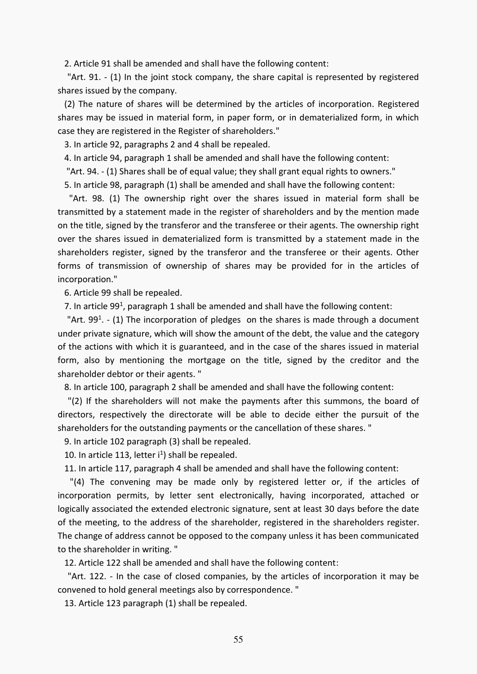2. Article 91 shall be amended and shall have the following content:

 "Art. 91. - (1) In the joint stock company, the share capital is represented by registered shares issued by the company.

 (2) The nature of shares will be determined by the articles of incorporation. Registered shares may be issued in material form, in paper form, or in dematerialized form, in which case they are registered in the Register of shareholders."

3. In article 92, paragraphs 2 and 4 shall be repealed.

4. In article 94, paragraph 1 shall be amended and shall have the following content:

"Art. 94. - (1) Shares shall be of equal value; they shall grant equal rights to owners."

5. In article 98, paragraph (1) shall be amended and shall have the following content:

 "Art. 98. (1) The ownership right over the shares issued in material form shall be transmitted by a statement made in the register of shareholders and by the mention made on the title, signed by the transferor and the transferee or their agents. The ownership right over the shares issued in dematerialized form is transmitted by a statement made in the shareholders register, signed by the transferor and the transferee or their agents. Other forms of transmission of ownership of shares may be provided for in the articles of incorporation."

6. Article 99 shall be repealed.

7. In article 99<sup>1</sup>, paragraph 1 shall be amended and shall have the following content:

"Art.  $99<sup>1</sup>$ . - (1) The incorporation of pledges on the shares is made through a document under private signature, which will show the amount of the debt, the value and the category of the actions with which it is guaranteed, and in the case of the shares issued in material form, also by mentioning the mortgage on the title, signed by the creditor and the shareholder debtor or their agents. "

8. In article 100, paragraph 2 shall be amended and shall have the following content:

 "(2) If the shareholders will not make the payments after this summons, the board of directors, respectively the directorate will be able to decide either the pursuit of the shareholders for the outstanding payments or the cancellation of these shares. "

9. In article 102 paragraph (3) shall be repealed.

10. In article 113, letter  $i^1$ ) shall be repealed.

11. In article 117, paragraph 4 shall be amended and shall have the following content:

 "(4) The convening may be made only by registered letter or, if the articles of incorporation permits, by letter sent electronically, having incorporated, attached or logically associated the extended electronic signature, sent at least 30 days before the date of the meeting, to the address of the shareholder, registered in the shareholders register. The change of address cannot be opposed to the company unless it has been communicated to the shareholder in writing. "

12. Article 122 shall be amended and shall have the following content:

 "Art. 122. - In the case of closed companies, by the articles of incorporation it may be convened to hold general meetings also by correspondence. "

13. Article 123 paragraph (1) shall be repealed.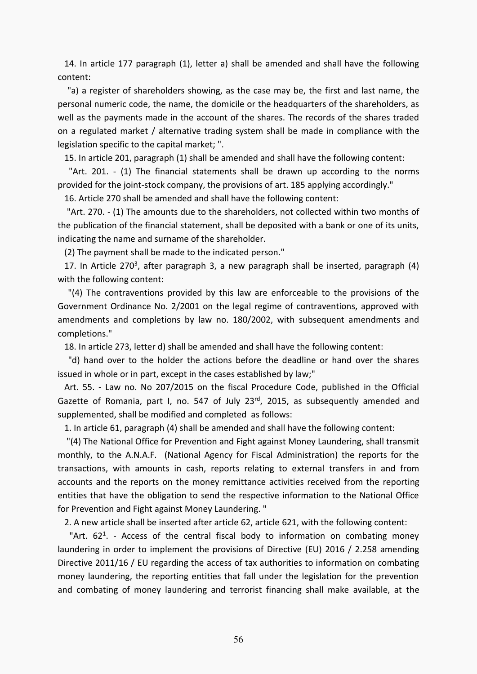14. In article 177 paragraph (1), letter a) shall be amended and shall have the following content:

 "a) a register of shareholders showing, as the case may be, the first and last name, the personal numeric code, the name, the domicile or the headquarters of the shareholders, as well as the payments made in the account of the shares. The records of the shares traded on a regulated market / alternative trading system shall be made in compliance with the legislation specific to the capital market; ".

15. In article 201, paragraph (1) shall be amended and shall have the following content:

 "Art. 201. - (1) The financial statements shall be drawn up according to the norms provided for the joint-stock company, the provisions of art. 185 applying accordingly."

16. Article 270 shall be amended and shall have the following content:

 "Art. 270. - (1) The amounts due to the shareholders, not collected within two months of the publication of the financial statement, shall be deposited with a bank or one of its units, indicating the name and surname of the shareholder.

(2) The payment shall be made to the indicated person."

17. In Article 270<sup>3</sup>, after paragraph 3, a new paragraph shall be inserted, paragraph  $(4)$ with the following content:

 "(4) The contraventions provided by this law are enforceable to the provisions of the Government Ordinance No. 2/2001 on the legal regime of contraventions, approved with amendments and completions by law no. 180/2002, with subsequent amendments and completions."

18. In article 273, letter d) shall be amended and shall have the following content:

 "d) hand over to the holder the actions before the deadline or hand over the shares issued in whole or in part, except in the cases established by law;"

 Art. 55. - Law no. No 207/2015 on the fiscal Procedure Code, published in the Official Gazette of Romania, part I, no. 547 of July 23rd, 2015, as subsequently amended and supplemented, shall be modified and completed as follows:

1. In article 61, paragraph (4) shall be amended and shall have the following content:

 "(4) The National Office for Prevention and Fight against Money Laundering, shall transmit monthly, to the A.N.A.F. (National Agency for Fiscal Administration) the reports for the transactions, with amounts in cash, reports relating to external transfers in and from accounts and the reports on the money remittance activities received from the reporting entities that have the obligation to send the respective information to the National Office for Prevention and Fight against Money Laundering. "

2. A new article shall be inserted after article 62, article 621, with the following content:

"Art.  $62^1$ . - Access of the central fiscal body to information on combating money laundering in order to implement the provisions of Directive (EU) 2016 / 2.258 amending Directive 2011/16 / EU regarding the access of tax authorities to information on combating money laundering, the reporting entities that fall under the legislation for the prevention and combating of money laundering and terrorist financing shall make available, at the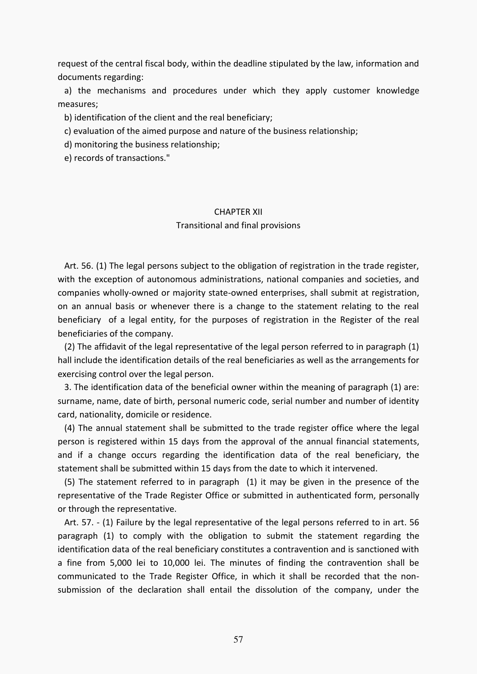request of the central fiscal body, within the deadline stipulated by the law, information and documents regarding:

 a) the mechanisms and procedures under which they apply customer knowledge measures;

b) identification of the client and the real beneficiary;

c) evaluation of the aimed purpose and nature of the business relationship;

d) monitoring the business relationship;

e) records of transactions."

# CHAPTER XII

## Transitional and final provisions

 Art. 56. (1) The legal persons subject to the obligation of registration in the trade register, with the exception of autonomous administrations, national companies and societies, and companies wholly-owned or majority state-owned enterprises, shall submit at registration, on an annual basis or whenever there is a change to the statement relating to the real beneficiary of a legal entity, for the purposes of registration in the Register of the real beneficiaries of the company.

 (2) The affidavit of the legal representative of the legal person referred to in paragraph (1) hall include the identification details of the real beneficiaries as well as the arrangements for exercising control over the legal person.

 3. The identification data of the beneficial owner within the meaning of paragraph (1) are: surname, name, date of birth, personal numeric code, serial number and number of identity card, nationality, domicile or residence.

 (4) The annual statement shall be submitted to the trade register office where the legal person is registered within 15 days from the approval of the annual financial statements, and if a change occurs regarding the identification data of the real beneficiary, the statement shall be submitted within 15 days from the date to which it intervened.

 (5) The statement referred to in paragraph (1) it may be given in the presence of the representative of the Trade Register Office or submitted in authenticated form, personally or through the representative.

 Art. 57. - (1) Failure by the legal representative of the legal persons referred to in art. 56 paragraph (1) to comply with the obligation to submit the statement regarding the identification data of the real beneficiary constitutes a contravention and is sanctioned with a fine from 5,000 lei to 10,000 lei. The minutes of finding the contravention shall be communicated to the Trade Register Office, in which it shall be recorded that the nonsubmission of the declaration shall entail the dissolution of the company, under the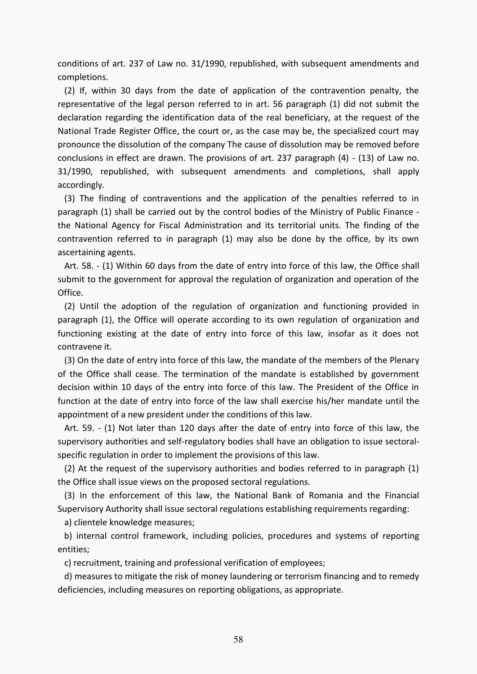conditions of art. 237 of Law no. 31/1990, republished, with subsequent amendments and completions.

 (2) If, within 30 days from the date of application of the contravention penalty, the representative of the legal person referred to in art. 56 paragraph (1) did not submit the declaration regarding the identification data of the real beneficiary, at the request of the National Trade Register Office, the court or, as the case may be, the specialized court may pronounce the dissolution of the company The cause of dissolution may be removed before conclusions in effect are drawn. The provisions of art. 237 paragraph (4) - (13) of Law no. 31/1990, republished, with subsequent amendments and completions, shall apply accordingly.

 (3) The finding of contraventions and the application of the penalties referred to in paragraph (1) shall be carried out by the control bodies of the Ministry of Public Finance the National Agency for Fiscal Administration and its territorial units. The finding of the contravention referred to in paragraph (1) may also be done by the office, by its own ascertaining agents.

 Art. 58. - (1) Within 60 days from the date of entry into force of this law, the Office shall submit to the government for approval the regulation of organization and operation of the Office.

 (2) Until the adoption of the regulation of organization and functioning provided in paragraph (1), the Office will operate according to its own regulation of organization and functioning existing at the date of entry into force of this law, insofar as it does not contravene it.

 (3) On the date of entry into force of this law, the mandate of the members of the Plenary of the Office shall cease. The termination of the mandate is established by government decision within 10 days of the entry into force of this law. The President of the Office in function at the date of entry into force of the law shall exercise his/her mandate until the appointment of a new president under the conditions of this law.

 Art. 59. - (1) Not later than 120 days after the date of entry into force of this law, the supervisory authorities and self-regulatory bodies shall have an obligation to issue sectoralspecific regulation in order to implement the provisions of this law.

 (2) At the request of the supervisory authorities and bodies referred to in paragraph (1) the Office shall issue views on the proposed sectoral regulations.

 (3) In the enforcement of this law, the National Bank of Romania and the Financial Supervisory Authority shall issue sectoral regulations establishing requirements regarding:

a) clientele knowledge measures;

 b) internal control framework, including policies, procedures and systems of reporting entities;

c) recruitment, training and professional verification of employees;

 d) measures to mitigate the risk of money laundering or terrorism financing and to remedy deficiencies, including measures on reporting obligations, as appropriate.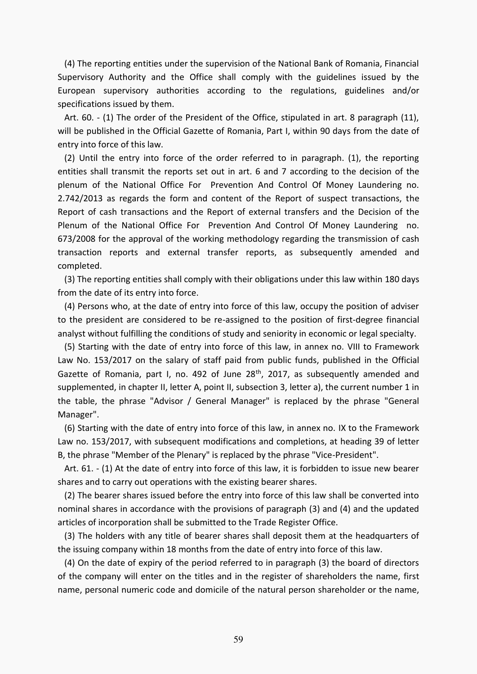(4) The reporting entities under the supervision of the National Bank of Romania, Financial Supervisory Authority and the Office shall comply with the guidelines issued by the European supervisory authorities according to the regulations, guidelines and/or specifications issued by them.

 Art. 60. - (1) The order of the President of the Office, stipulated in art. 8 paragraph (11), will be published in the Official Gazette of Romania, Part I, within 90 days from the date of entry into force of this law.

 (2) Until the entry into force of the order referred to in paragraph. (1), the reporting entities shall transmit the reports set out in art. 6 and 7 according to the decision of the plenum of the National Office For Prevention And Control Of Money Laundering no. 2.742/2013 as regards the form and content of the Report of suspect transactions, the Report of cash transactions and the Report of external transfers and the Decision of the Plenum of the National Office For Prevention And Control Of Money Laundering no. 673/2008 for the approval of the working methodology regarding the transmission of cash transaction reports and external transfer reports, as subsequently amended and completed.

 (3) The reporting entities shall comply with their obligations under this law within 180 days from the date of its entry into force.

 (4) Persons who, at the date of entry into force of this law, occupy the position of adviser to the president are considered to be re-assigned to the position of first-degree financial analyst without fulfilling the conditions of study and seniority in economic or legal specialty.

 (5) Starting with the date of entry into force of this law, in annex no[. VIII to Framework](act:1653806%20200791730)  [Law No. 153/2017 on the salary of staff paid from public funds, published in the Official](act:1653806%20200791730)  [Gazette of Romania, part I, no. 492 of June 28](act:1653806%20200791730)<sup>th</sup>, 2017, as subsequently amended and [supplemented, in chapter II, letter A, point II, subsection 3, letter a\), the current number 1 in](act:1653806%20200791730)  [the table, the phrase "Advisor / General Manager" is replaced by the phrase "General](act:1653806%20200791730)  [Manager".](act:1653806%20200791730) 

 (6) Starting with the date of entry into force of this law, in annex no[. IX to the Framework](act:1653806%20200792168)  [Law no. 153/2017, with subsequent modifications and completions, at heading 39 of letter](act:1653806%20200792168)  [B, the phrase "Member of the Plenary" is replaced by the phrase "Vice-President".](act:1653806%20200792168) 

 Art. 61. - (1) At the date of entry into force of this law, it is forbidden to issue new bearer shares and to carry out operations with the existing bearer shares.

 (2) The bearer shares issued before the entry into force of this law shall be converted into nominal shares in accordance with the provisions of paragraph (3) and (4) and the updated articles of incorporation shall be submitted to the Trade Register Office.

 (3) The holders with any title of bearer shares shall deposit them at the headquarters of the issuing company within 18 months from the date of entry into force of this law.

 (4) On the date of expiry of the period referred to in paragraph (3) the board of directors of the company will enter on the titles and in the register of shareholders the name, first name, personal numeric code and domicile of the natural person shareholder or the name,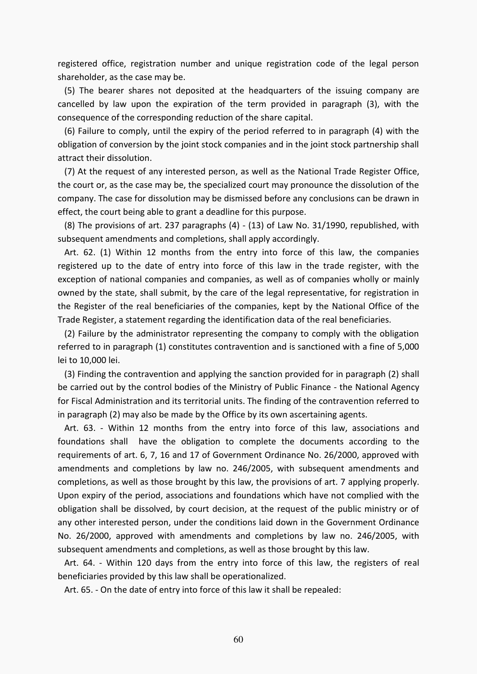registered office, registration number and unique registration code of the legal person shareholder, as the case may be.

 (5) The bearer shares not deposited at the headquarters of the issuing company are cancelled by law upon the expiration of the term provided in paragraph (3), with the consequence of the corresponding reduction of the share capital.

 (6) Failure to comply, until the expiry of the period referred to in paragraph (4) with the obligation of conversion by the joint stock companies and in the joint stock partnership shall attract their dissolution.

 (7) At the request of any interested person, as well as the National Trade Register Office, the court or, as the case may be, the specialized court may pronounce the dissolution of the company. The case for dissolution may be dismissed before any conclusions can be drawn in effect, the court being able to grant a deadline for this purpose.

 (8) The provisions of art. 237 paragraphs (4) - (13) of Law No. 31/1990, republished, with subsequent amendments and completions, shall apply accordingly.

 Art. 62. (1) Within 12 months from the entry into force of this law, the companies registered up to the date of entry into force of this law in the trade register, with the exception of national companies and companies, as well as of companies wholly or mainly owned by the state, shall submit, by the care of the legal representative, for registration in the Register of the real beneficiaries of the companies, kept by the National Office of the Trade Register, a statement regarding the identification data of the real beneficiaries.

 (2) Failure by the administrator representing the company to comply with the obligation referred to in paragraph (1) constitutes contravention and is sanctioned with a fine of 5,000 lei to 10,000 lei.

 (3) Finding the contravention and applying the sanction provided for in paragraph (2) shall be carried out by the control bodies of the Ministry of Public Finance - the National Agency for Fiscal Administration and its territorial units. The finding of the contravention referred to in paragraph (2) may also be made by the Office by its own ascertaining agents.

 Art. 63. - Within 12 months from the entry into force of this law, associations and foundations shall have the obligation to complete the documents according to the requirements of art. 6, 7, 16 and 17 of Government Ordinance No. 26/2000, approved with amendments and completions by law no. 246/2005, with subsequent amendments and completions, as well as those brought by this law, the provisions of art. 7 applying properly. Upon expiry of the period, associations and foundations which have not complied with the obligation shall be dissolved, by court decision, at the request of the public ministry or of any other interested person, under the conditions laid down in the Government Ordinance No. 26/2000, approved with amendments and completions by law no. 246/2005, with subsequent amendments and completions, as well as those brought by this law.

 Art. 64. - Within 120 days from the entry into force of this law, the registers of real beneficiaries provided by this law shall be operationalized.

Art. 65. - On the date of entry into force of this law it shall be repealed: